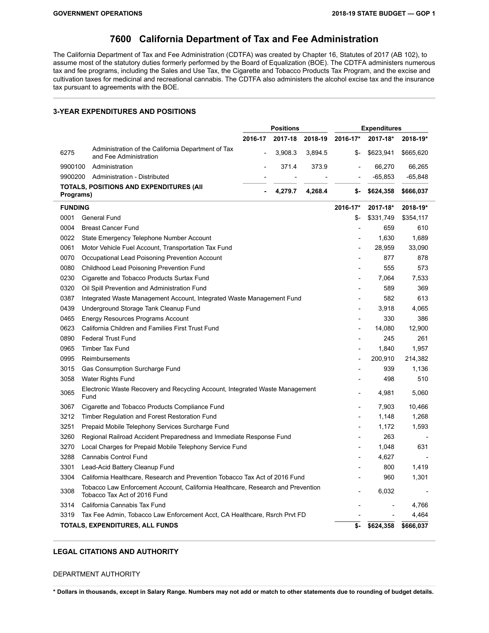### **California Department of Tax and Fee Administration**

The California Department of Tax and Fee Administration (CDTFA) was created by Chapter 16, Statutes of 2017 (AB 102), to assume most of the statutory duties formerly performed by the Board of Equalization (BOE). The CDTFA administers numerous tax and fee programs, including the Sales and Use Tax, the Cigarette and Tobacco Products Tax Program, and the excise and cultivation taxes for medicinal and recreational cannabis. The CDTFA also administers the alcohol excise tax and the insurance tax pursuant to agreements with the BOE.

### **3-YEAR EXPENDITURES AND POSITIONS**

|                |                                                                                                                 |         | <b>Positions</b> |         |                          | <b>Expenditures</b> |           |
|----------------|-----------------------------------------------------------------------------------------------------------------|---------|------------------|---------|--------------------------|---------------------|-----------|
|                |                                                                                                                 | 2016-17 | 2017-18          | 2018-19 | 2016-17*                 | 2017-18*            | 2018-19*  |
| 6275           | Administration of the California Department of Tax<br>and Fee Administration                                    |         | 3,908.3          | 3,894.5 | \$-                      | \$623,941           | \$665,620 |
| 9900100        | Administration                                                                                                  |         | 371.4            | 373.9   |                          | 66,270              | 66,265    |
| 9900200        | Administration - Distributed                                                                                    |         |                  |         |                          | $-65,853$           | $-65,848$ |
| Programs)      | <b>TOTALS, POSITIONS AND EXPENDITURES (AII</b>                                                                  |         | 4,279.7          | 4,268.4 | \$-                      | \$624,358           | \$666,037 |
| <b>FUNDING</b> |                                                                                                                 |         |                  |         | 2016-17*                 | 2017-18*            | 2018-19*  |
| 0001           | General Fund                                                                                                    |         |                  |         | \$-                      | \$331,749           | \$354,117 |
| 0004           | <b>Breast Cancer Fund</b>                                                                                       |         |                  |         |                          | 659                 | 610       |
| 0022           | State Emergency Telephone Number Account                                                                        |         |                  |         |                          | 1,630               | 1,689     |
| 0061           | Motor Vehicle Fuel Account, Transportation Tax Fund                                                             |         |                  |         | $\overline{a}$           | 28,959              | 33,090    |
| 0070           | Occupational Lead Poisoning Prevention Account                                                                  |         |                  |         |                          | 877                 | 878       |
| 0080           | Childhood Lead Poisoning Prevention Fund                                                                        |         |                  |         |                          | 555                 | 573       |
| 0230           | Cigarette and Tobacco Products Surtax Fund                                                                      |         |                  |         |                          | 7,064               | 7,533     |
| 0320           | Oil Spill Prevention and Administration Fund                                                                    |         |                  |         |                          | 589                 | 369       |
| 0387           | Integrated Waste Management Account, Integrated Waste Management Fund                                           |         |                  |         |                          | 582                 | 613       |
| 0439           | Underground Storage Tank Cleanup Fund                                                                           |         |                  |         |                          | 3,918               | 4,065     |
| 0465           | Energy Resources Programs Account                                                                               |         |                  |         | $\overline{a}$           | 330                 | 386       |
| 0623           | California Children and Families First Trust Fund                                                               |         |                  |         | $\overline{a}$           | 14,080              | 12,900    |
| 0890           | <b>Federal Trust Fund</b>                                                                                       |         |                  |         |                          | 245                 | 261       |
| 0965           | <b>Timber Tax Fund</b>                                                                                          |         |                  |         |                          | 1,840               | 1,957     |
| 0995           | Reimbursements                                                                                                  |         |                  |         |                          | 200,910             | 214,382   |
| 3015           | Gas Consumption Surcharge Fund                                                                                  |         |                  |         |                          | 939                 | 1,136     |
| 3058           | Water Rights Fund                                                                                               |         |                  |         |                          | 498                 | 510       |
| 3065           | Electronic Waste Recovery and Recycling Account, Integrated Waste Management<br>Fund                            |         |                  |         |                          | 4.981               | 5,060     |
| 3067           | Cigarette and Tobacco Products Compliance Fund                                                                  |         |                  |         |                          | 7,903               | 10,466    |
| 3212           | Timber Regulation and Forest Restoration Fund                                                                   |         |                  |         | $\overline{\phantom{0}}$ | 1,148               | 1,268     |
| 3251           | Prepaid Mobile Telephony Services Surcharge Fund                                                                |         |                  |         |                          | 1,172               | 1,593     |
| 3260           | Regional Railroad Accident Preparedness and Immediate Response Fund                                             |         |                  |         |                          | 263                 |           |
| 3270           | Local Charges for Prepaid Mobile Telephony Service Fund                                                         |         |                  |         |                          | 1,048               | 631       |
| 3288           | Cannabis Control Fund                                                                                           |         |                  |         |                          | 4,627               |           |
| 3301           | Lead-Acid Battery Cleanup Fund                                                                                  |         |                  |         |                          | 800                 | 1,419     |
| 3304           | California Healthcare, Research and Prevention Tobacco Tax Act of 2016 Fund                                     |         |                  |         |                          | 960                 | 1,301     |
| 3308           | Tobacco Law Enforcement Account, California Healthcare, Research and Prevention<br>Tobacco Tax Act of 2016 Fund |         |                  |         |                          | 6,032               |           |
| 3314           | California Cannabis Tax Fund                                                                                    |         |                  |         |                          |                     | 4,766     |
| 3319           | Tax Fee Admin, Tobacco Law Enforcement Acct, CA Healthcare, Rsrch Prvt FD                                       |         |                  |         |                          |                     | 4,464     |
|                | TOTALS, EXPENDITURES, ALL FUNDS                                                                                 |         |                  |         | \$-                      | \$624,358           | \$666,037 |

### **LEGAL CITATIONS AND AUTHORITY**

#### DEPARTMENT AUTHORITY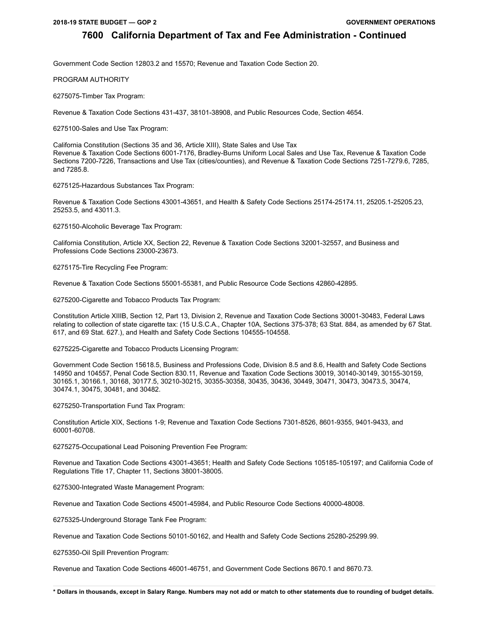Government Code Section 12803.2 and 15570; Revenue and Taxation Code Section 20.

PROGRAM AUTHORITY

6275075-Timber Tax Program:

Revenue & Taxation Code Sections 431-437, 38101-38908, and Public Resources Code, Section 4654.

6275100-Sales and Use Tax Program:

California Constitution (Sections 35 and 36, Article XIII), State Sales and Use Tax Revenue & Taxation Code Sections 6001-7176, Bradley-Burns Uniform Local Sales and Use Tax, Revenue & Taxation Code Sections 7200-7226, Transactions and Use Tax (cities/counties), and Revenue & Taxation Code Sections 7251-7279.6, 7285, and 7285.8.

6275125-Hazardous Substances Tax Program:

Revenue & Taxation Code Sections 43001-43651, and Health & Safety Code Sections 25174-25174.11, 25205.1-25205.23, 25253.5, and 43011.3.

6275150-Alcoholic Beverage Tax Program:

California Constitution, Article XX, Section 22, Revenue & Taxation Code Sections 32001-32557, and Business and Professions Code Sections 23000-23673.

6275175-Tire Recycling Fee Program:

Revenue & Taxation Code Sections 55001-55381, and Public Resource Code Sections 42860-42895.

6275200-Cigarette and Tobacco Products Tax Program:

Constitution Article XIIIB, Section 12, Part 13, Division 2, Revenue and Taxation Code Sections 30001-30483, Federal Laws relating to collection of state cigarette tax: (15 U.S.C.A., Chapter 10A, Sections 375-378; 63 Stat. 884, as amended by 67 Stat. 617, and 69 Stat. 627.), and Health and Safety Code Sections 104555-104558.

6275225-Cigarette and Tobacco Products Licensing Program:

Government Code Section 15618.5, Business and Professions Code, Division 8.5 and 8.6, Health and Safety Code Sections 14950 and 104557, Penal Code Section 830.11, Revenue and Taxation Code Sections 30019, 30140-30149, 30155-30159, 30165.1, 30166.1, 30168, 30177.5, 30210-30215, 30355-30358, 30435, 30436, 30449, 30471, 30473, 30473.5, 30474, 30474.1, 30475, 30481, and 30482.

6275250-Transportation Fund Tax Program:

Constitution Article XIX, Sections 1-9; Revenue and Taxation Code Sections 7301-8526, 8601-9355, 9401-9433, and 60001-60708.

6275275-Occupational Lead Poisoning Prevention Fee Program:

Revenue and Taxation Code Sections 43001-43651; Health and Safety Code Sections 105185-105197; and California Code of Regulations Title 17, Chapter 11, Sections 38001-38005.

6275300-Integrated Waste Management Program:

Revenue and Taxation Code Sections 45001-45984, and Public Resource Code Sections 40000-48008.

6275325-Underground Storage Tank Fee Program:

Revenue and Taxation Code Sections 50101-50162, and Health and Safety Code Sections 25280-25299.99.

6275350-Oil Spill Prevention Program:

Revenue and Taxation Code Sections 46001-46751, and Government Code Sections 8670.1 and 8670.73.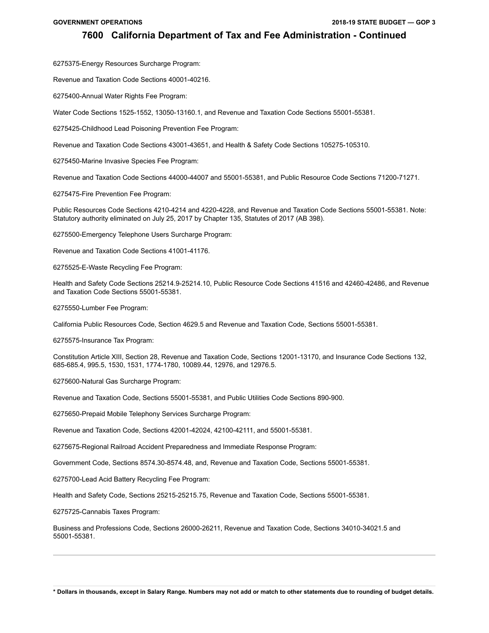6275375-Energy Resources Surcharge Program:

Revenue and Taxation Code Sections 40001-40216.

6275400-Annual Water Rights Fee Program:

Water Code Sections 1525-1552, 13050-13160.1, and Revenue and Taxation Code Sections 55001-55381.

6275425-Childhood Lead Poisoning Prevention Fee Program:

Revenue and Taxation Code Sections 43001-43651, and Health & Safety Code Sections 105275-105310.

6275450-Marine Invasive Species Fee Program:

Revenue and Taxation Code Sections 44000-44007 and 55001-55381, and Public Resource Code Sections 71200-71271.

6275475-Fire Prevention Fee Program:

Public Resources Code Sections 4210-4214 and 4220-4228, and Revenue and Taxation Code Sections 55001-55381. Note: Statutory authority eliminated on July 25, 2017 by Chapter 135, Statutes of 2017 (AB 398).

6275500-Emergency Telephone Users Surcharge Program:

Revenue and Taxation Code Sections 41001-41176.

6275525-E-Waste Recycling Fee Program:

Health and Safety Code Sections 25214.9-25214.10, Public Resource Code Sections 41516 and 42460-42486, and Revenue and Taxation Code Sections 55001-55381.

6275550-Lumber Fee Program:

California Public Resources Code, Section 4629.5 and Revenue and Taxation Code, Sections 55001-55381.

6275575-Insurance Tax Program:

Constitution Article XIII, Section 28, Revenue and Taxation Code, Sections 12001-13170, and Insurance Code Sections 132, 685-685.4, 995.5, 1530, 1531, 1774-1780, 10089.44, 12976, and 12976.5.

6275600-Natural Gas Surcharge Program:

Revenue and Taxation Code, Sections 55001-55381, and Public Utilities Code Sections 890-900.

6275650-Prepaid Mobile Telephony Services Surcharge Program:

Revenue and Taxation Code, Sections 42001-42024, 42100-42111, and 55001-55381.

6275675-Regional Railroad Accident Preparedness and Immediate Response Program:

Government Code, Sections 8574.30-8574.48, and, Revenue and Taxation Code, Sections 55001-55381.

6275700-Lead Acid Battery Recycling Fee Program:

Health and Safety Code, Sections 25215-25215.75, Revenue and Taxation Code, Sections 55001-55381.

6275725-Cannabis Taxes Program:

Business and Professions Code, Sections 26000-26211, Revenue and Taxation Code, Sections 34010-34021.5 and 55001-55381.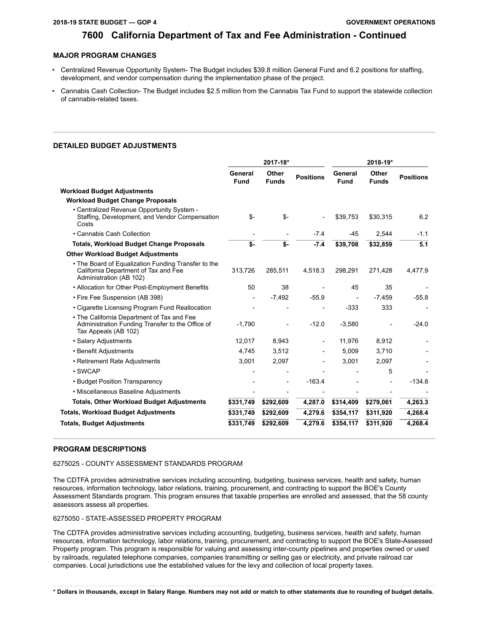### **MAJOR PROGRAM CHANGES**

- Centralized Revenue Opportunity System- The Budget includes \$39.8 million General Fund and 6.2 positions for staffing, development, and vendor compensation during the implementation phase of the project.
- Cannabis Cash Collection- The Budget includes \$2.5 million from the Cannabis Tax Fund to support the statewide collection of cannabis-related taxes.

### **DETAILED BUDGET ADJUSTMENTS**

|                                                                                                                        |                        | 2017-18*              |                  |                        | 2018-19*              |                  |
|------------------------------------------------------------------------------------------------------------------------|------------------------|-----------------------|------------------|------------------------|-----------------------|------------------|
|                                                                                                                        | General<br><b>Fund</b> | Other<br><b>Funds</b> | <b>Positions</b> | General<br><b>Fund</b> | Other<br><b>Funds</b> | <b>Positions</b> |
| Workload Budget Adjustments                                                                                            |                        |                       |                  |                        |                       |                  |
| <b>Workload Budget Change Proposals</b>                                                                                |                        |                       |                  |                        |                       |                  |
| . Centralized Revenue Opportunity System -<br>Staffing, Development, and Vendor Compensation<br>Costs                  | \$-                    | \$-                   |                  | \$39,753               | \$30,315              | 6.2              |
| • Cannabis Cash Collection                                                                                             |                        |                       | $-7.4$           | $-45$                  | 2,544                 | $-1.1$           |
| <b>Totals, Workload Budget Change Proposals</b>                                                                        | \$-                    | \$-                   | $-7.4$           | \$39,708               | \$32,859              | 5.1              |
| <b>Other Workload Budget Adjustments</b>                                                                               |                        |                       |                  |                        |                       |                  |
| • The Board of Equalization Funding Transfer to the<br>California Department of Tax and Fee<br>Administration (AB 102) | 313,726                | 285,511               | 4,518.3          | 298,291                | 271,428               | 4,477.9          |
| • Allocation for Other Post-Employment Benefits                                                                        | 50                     | 38                    |                  | 45                     | 35                    |                  |
| • Fire Fee Suspension (AB 398)                                                                                         |                        | $-7,492$              | $-55.9$          |                        | $-7,459$              | $-55.8$          |
| • Cigarette Licensing Program Fund Reallocation                                                                        |                        |                       |                  | $-333$                 | 333                   |                  |
| • The California Department of Tax and Fee<br>Administration Funding Transfer to the Office of<br>Tax Appeals (AB 102) | $-1,790$               |                       | $-12.0$          | $-3.580$               |                       | $-24.0$          |
| · Salary Adjustments                                                                                                   | 12,017                 | 8,943                 |                  | 11,976                 | 8,912                 |                  |
| • Benefit Adjustments                                                                                                  | 4,745                  | 3,512                 |                  | 5,009                  | 3,710                 |                  |
| • Retirement Rate Adjustments                                                                                          | 3,001                  | 2,097                 |                  | 3,001                  | 2,097                 |                  |
| • SWCAP                                                                                                                |                        |                       |                  |                        | 5                     |                  |
| • Budget Position Transparency                                                                                         |                        |                       | $-163.4$         |                        |                       | $-134.8$         |
| • Miscellaneous Baseline Adjustments                                                                                   |                        |                       |                  |                        |                       |                  |
| <b>Totals, Other Workload Budget Adjustments</b>                                                                       | \$331,749              | \$292,609             | 4,287.0          | \$314,409              | \$279,061             | 4,263.3          |
| <b>Totals, Workload Budget Adjustments</b>                                                                             | \$331,749              | \$292,609             | 4,279.6          | \$354,117              | \$311,920             | 4,268.4          |
| <b>Totals, Budget Adjustments</b>                                                                                      | \$331,749              | \$292,609             | 4,279.6          | \$354,117              | \$311,920             | 4,268.4          |

### **PROGRAM DESCRIPTIONS**

### 6275025 - COUNTY ASSESSMENT STANDARDS PROGRAM

The CDTFA provides administrative services including accounting, budgeting, business services, health and safety, human resources, information technology, labor relations, training, procurement, and contracting to support the BOE's County Assessment Standards program. This program ensures that taxable properties are enrolled and assessed, that the 58 county assessors assess all properties.

### 6275050 - STATE-ASSESSED PROPERTY PROGRAM

The CDTFA provides administrative services including accounting, budgeting, business services, health and safety, human resources, information technology, labor relations, training, procurement, and contracting to support the BOE's State-Assessed Property program. This program is responsible for valuing and assessing inter-county pipelines and properties owned or used by railroads, regulated telephone companies, companies transmitting or selling gas or electricity, and private railroad car companies. Local jurisdictions use the established values for the levy and collection of local property taxes.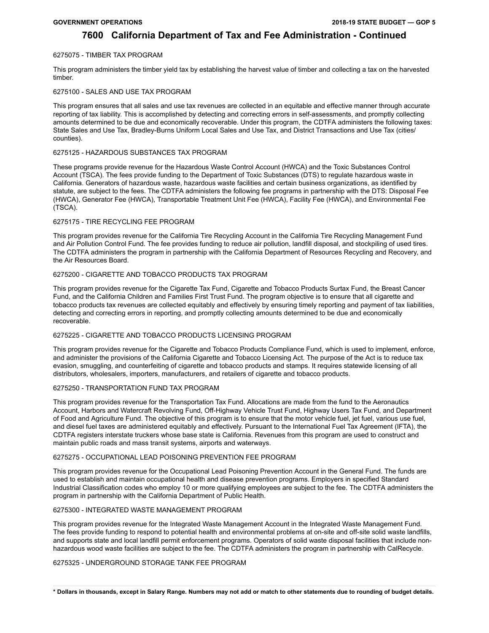### 6275075 - TIMBER TAX PROGRAM

This program administers the timber yield tax by establishing the harvest value of timber and collecting a tax on the harvested timber.

### 6275100 - SALES AND USE TAX PROGRAM

This program ensures that all sales and use tax revenues are collected in an equitable and effective manner through accurate reporting of tax liability. This is accomplished by detecting and correcting errors in self-assessments, and promptly collecting amounts determined to be due and economically recoverable. Under this program, the CDTFA administers the following taxes: State Sales and Use Tax, Bradley-Burns Uniform Local Sales and Use Tax, and District Transactions and Use Tax (cities/ counties).

### 6275125 - HAZARDOUS SUBSTANCES TAX PROGRAM

These programs provide revenue for the Hazardous Waste Control Account (HWCA) and the Toxic Substances Control Account (TSCA). The fees provide funding to the Department of Toxic Substances (DTS) to regulate hazardous waste in California. Generators of hazardous waste, hazardous waste facilities and certain business organizations, as identified by statute, are subject to the fees. The CDTFA administers the following fee programs in partnership with the DTS: Disposal Fee (HWCA), Generator Fee (HWCA), Transportable Treatment Unit Fee (HWCA), Facility Fee (HWCA), and Environmental Fee (TSCA).

### 6275175 - TIRE RECYCLING FEE PROGRAM

This program provides revenue for the California Tire Recycling Account in the California Tire Recycling Management Fund and Air Pollution Control Fund. The fee provides funding to reduce air pollution, landfill disposal, and stockpiling of used tires. The CDTFA administers the program in partnership with the California Department of Resources Recycling and Recovery, and the Air Resources Board.

### 6275200 - CIGARETTE AND TOBACCO PRODUCTS TAX PROGRAM

This program provides revenue for the Cigarette Tax Fund, Cigarette and Tobacco Products Surtax Fund, the Breast Cancer Fund, and the California Children and Families First Trust Fund. The program objective is to ensure that all cigarette and tobacco products tax revenues are collected equitably and effectively by ensuring timely reporting and payment of tax liabilities, detecting and correcting errors in reporting, and promptly collecting amounts determined to be due and economically recoverable.

### 6275225 - CIGARETTE AND TOBACCO PRODUCTS LICENSING PROGRAM

This program provides revenue for the Cigarette and Tobacco Products Compliance Fund, which is used to implement, enforce, and administer the provisions of the California Cigarette and Tobacco Licensing Act. The purpose of the Act is to reduce tax evasion, smuggling, and counterfeiting of cigarette and tobacco products and stamps. It requires statewide licensing of all distributors, wholesalers, importers, manufacturers, and retailers of cigarette and tobacco products.

### 6275250 - TRANSPORTATION FUND TAX PROGRAM

This program provides revenue for the Transportation Tax Fund. Allocations are made from the fund to the Aeronautics Account, Harbors and Watercraft Revolving Fund, Off-Highway Vehicle Trust Fund, Highway Users Tax Fund, and Department of Food and Agriculture Fund. The objective of this program is to ensure that the motor vehicle fuel, jet fuel, various use fuel, and diesel fuel taxes are administered equitably and effectively. Pursuant to the International Fuel Tax Agreement (IFTA), the CDTFA registers interstate truckers whose base state is California. Revenues from this program are used to construct and maintain public roads and mass transit systems, airports and waterways.

### 6275275 - OCCUPATIONAL LEAD POISONING PREVENTION FEE PROGRAM

This program provides revenue for the Occupational Lead Poisoning Prevention Account in the General Fund. The funds are used to establish and maintain occupational health and disease prevention programs. Employers in specified Standard Industrial Classification codes who employ 10 or more qualifying employees are subject to the fee. The CDTFA administers the program in partnership with the California Department of Public Health.

### 6275300 - INTEGRATED WASTE MANAGEMENT PROGRAM

This program provides revenue for the Integrated Waste Management Account in the Integrated Waste Management Fund. The fees provide funding to respond to potential health and environmental problems at on-site and off-site solid waste landfills, and supports state and local landfill permit enforcement programs. Operators of solid waste disposal facilities that include nonhazardous wood waste facilities are subject to the fee. The CDTFA administers the program in partnership with CalRecycle.

### 6275325 - UNDERGROUND STORAGE TANK FEE PROGRAM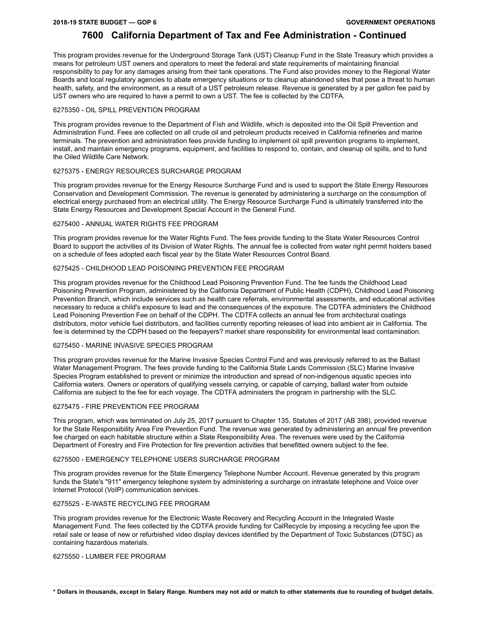This program provides revenue for the Underground Storage Tank (UST) Cleanup Fund in the State Treasury which provides a means for petroleum UST owners and operators to meet the federal and state requirements of maintaining financial responsibility to pay for any damages arising from their tank operations. The Fund also provides money to the Regional Water Boards and local regulatory agencies to abate emergency situations or to cleanup abandoned sites that pose a threat to human health, safety, and the environment, as a result of a UST petroleum release. Revenue is generated by a per gallon fee paid by UST owners who are required to have a permit to own a UST. The fee is collected by the CDTFA.

### 6275350 - OIL SPILL PREVENTION PROGRAM

This program provides revenue to the Department of Fish and Wildlife, which is deposited into the Oil Spill Prevention and Administration Fund. Fees are collected on all crude oil and petroleum products received in California refineries and marine terminals. The prevention and administration fees provide funding to implement oil spill prevention programs to implement, install, and maintain emergency programs, equipment, and facilities to respond to, contain, and cleanup oil spills, and to fund the Oiled Wildlife Care Network.

### 6275375 - ENERGY RESOURCES SURCHARGE PROGRAM

This program provides revenue for the Energy Resource Surcharge Fund and is used to support the State Energy Resources Conservation and Development Commission. The revenue is generated by administering a surcharge on the consumption of electrical energy purchased from an electrical utility. The Energy Resource Surcharge Fund is ultimately transferred into the State Energy Resources and Development Special Account in the General Fund.

### 6275400 - ANNUAL WATER RIGHTS FEE PROGRAM

This program provides revenue for the Water Rights Fund. The fees provide funding to the State Water Resources Control Board to support the activities of its Division of Water Rights. The annual fee is collected from water right permit holders based on a schedule of fees adopted each fiscal year by the State Water Resources Control Board.

### 6275425 - CHILDHOOD LEAD POISONING PREVENTION FEE PROGRAM

This program provides revenue for the Childhood Lead Poisoning Prevention Fund. The fee funds the Childhood Lead Poisoning Prevention Program, administered by the California Department of Public Health (CDPH), Childhood Lead Poisoning Prevention Branch, which include services such as health care referrals, environmental assessments, and educational activities necessary to reduce a child's exposure to lead and the consequences of the exposure. The CDTFA administers the Childhood Lead Poisoning Prevention Fee on behalf of the CDPH. The CDTFA collects an annual fee from architectural coatings distributors, motor vehicle fuel distributors, and facilities currently reporting releases of lead into ambient air in California. The fee is determined by the CDPH based on the feepayers? market share responsibility for environmental lead contamination.

### 6275450 - MARINE INVASIVE SPECIES PROGRAM

This program provides revenue for the Marine Invasive Species Control Fund and was previously referred to as the Ballast Water Management Program. The fees provide funding to the California State Lands Commission (SLC) Marine Invasive Species Program established to prevent or minimize the introduction and spread of non-indigenous aquatic species into California waters. Owners or operators of qualifying vessels carrying, or capable of carrying, ballast water from outside California are subject to the fee for each voyage. The CDTFA administers the program in partnership with the SLC.

### 6275475 - FIRE PREVENTION FEE PROGRAM

This program, which was terminated on July 25, 2017 pursuant to Chapter 135, Statutes of 2017 (AB 398), provided revenue for the State Responsibility Area Fire Prevention Fund. The revenue was generated by administering an annual fire prevention fee charged on each habitable structure within a State Responsibility Area. The revenues were used by the California Department of Forestry and Fire Protection for fire prevention activities that benefitted owners subject to the fee.

### 6275500 - EMERGENCY TELEPHONE USERS SURCHARGE PROGRAM

This program provides revenue for the State Emergency Telephone Number Account. Revenue generated by this program funds the State's "911" emergency telephone system by administering a surcharge on intrastate telephone and Voice over Internet Protocol (VoIP) communication services.

### 6275525 - E-WASTE RECYCLING FEE PROGRAM

This program provides revenue for the Electronic Waste Recovery and Recycling Account in the Integrated Waste Management Fund. The fees collected by the CDTFA provide funding for CalRecycle by imposing a recycling fee upon the retail sale or lease of new or refurbished video display devices identified by the Department of Toxic Substances (DTSC) as containing hazardous materials.

### 6275550 - LUMBER FEE PROGRAM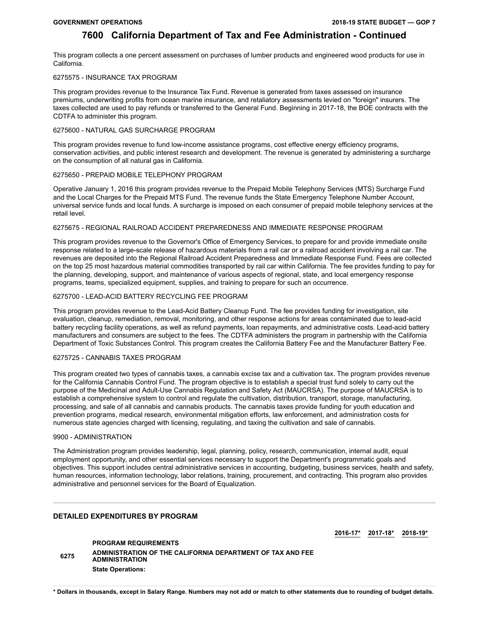This program collects a one percent assessment on purchases of lumber products and engineered wood products for use in California.

### 6275575 - INSURANCE TAX PROGRAM

This program provides revenue to the Insurance Tax Fund. Revenue is generated from taxes assessed on insurance premiums, underwriting profits from ocean marine insurance, and retaliatory assessments levied on "foreign" insurers. The taxes collected are used to pay refunds or transferred to the General Fund. Beginning in 2017-18, the BOE contracts with the CDTFA to administer this program.

### 6275600 - NATURAL GAS SURCHARGE PROGRAM

This program provides revenue to fund low-income assistance programs, cost effective energy efficiency programs, conservation activities, and public interest research and development. The revenue is generated by administering a surcharge on the consumption of all natural gas in California.

### 6275650 - PREPAID MOBILE TELEPHONY PROGRAM

Operative January 1, 2016 this program provides revenue to the Prepaid Mobile Telephony Services (MTS) Surcharge Fund and the Local Charges for the Prepaid MTS Fund. The revenue funds the State Emergency Telephone Number Account, universal service funds and local funds. A surcharge is imposed on each consumer of prepaid mobile telephony services at the retail level.

### 6275675 - REGIONAL RAILROAD ACCIDENT PREPAREDNESS AND IMMEDIATE RESPONSE PROGRAM

This program provides revenue to the Governor's Office of Emergency Services, to prepare for and provide immediate onsite response related to a large-scale release of hazardous materials from a rail car or a railroad accident involving a rail car. The revenues are deposited into the Regional Railroad Accident Preparedness and Immediate Response Fund. Fees are collected on the top 25 most hazardous material commodities transported by rail car within California. The fee provides funding to pay for the planning, developing, support, and maintenance of various aspects of regional, state, and local emergency response programs, teams, specialized equipment, supplies, and training to prepare for such an occurrence.

### 6275700 - LEAD-ACID BATTERY RECYCLING FEE PROGRAM

This program provides revenue to the Lead-Acid Battery Cleanup Fund. The fee provides funding for investigation, site evaluation, cleanup, remediation, removal, monitoring, and other response actions for areas contaminated due to lead-acid battery recycling facility operations, as well as refund payments, loan repayments, and administrative costs. Lead-acid battery manufacturers and consumers are subject to the fees. The CDTFA administers the program in partnership with the California Department of Toxic Substances Control. This program creates the California Battery Fee and the Manufacturer Battery Fee.

### 6275725 - CANNABIS TAXES PROGRAM

This program created two types of cannabis taxes, a cannabis excise tax and a cultivation tax. The program provides revenue for the California Cannabis Control Fund. The program objective is to establish a special trust fund solely to carry out the purpose of the Medicinal and Adult-Use Cannabis Regulation and Safety Act (MAUCRSA). The purpose of MAUCRSA is to establish a comprehensive system to control and regulate the cultivation, distribution, transport, storage, manufacturing, processing, and sale of all cannabis and cannabis products. The cannabis taxes provide funding for youth education and prevention programs, medical research, environmental mitigation efforts, law enforcement, and administration costs for numerous state agencies charged with licensing, regulating, and taxing the cultivation and sale of cannabis.

### 9900 - ADMINISTRATION

The Administration program provides leadership, legal, planning, policy, research, communication, internal audit, equal employment opportunity, and other essential services necessary to support the Department's programmatic goals and objectives. This support includes central administrative services in accounting, budgeting, business services, health and safety, human resources, information technology, labor relations, training, procurement, and contracting. This program also provides administrative and personnel services for the Board of Equalization.

### **DETAILED EXPENDITURES BY PROGRAM**

**2016-17\* 2017-18\* 2018-19\***

**PROGRAM REQUIREMENTS <sup>6275</sup> ADMINISTRATION OF THE CALIFORNIA DEPARTMENT OF TAX AND FEE ADMINISTRATION State Operations:**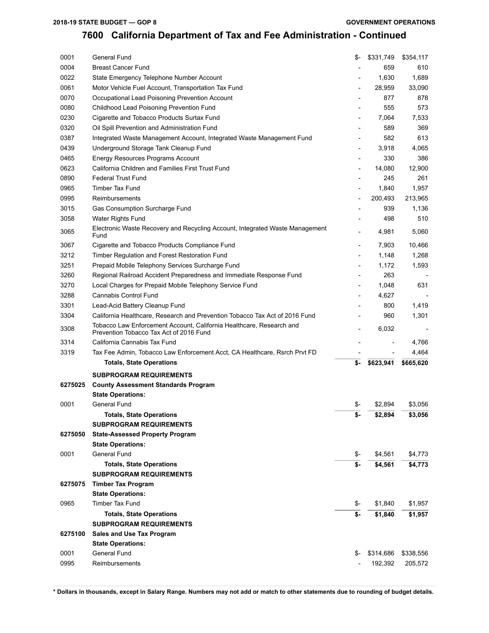### **2018-19 STATE BUDGET — GOP 8**

# **California Department of Tax and Fee Administration - Continued**

|         | General Fund                                                                                                    | \$-                      | \$331,749 | \$354,117 |
|---------|-----------------------------------------------------------------------------------------------------------------|--------------------------|-----------|-----------|
| 0004    | <b>Breast Cancer Fund</b>                                                                                       |                          | 659       | 610       |
| 0022    | State Emergency Telephone Number Account                                                                        |                          | 1,630     | 1,689     |
| 0061    | Motor Vehicle Fuel Account, Transportation Tax Fund                                                             | $\overline{\phantom{a}}$ | 28,959    | 33,090    |
| 0070    | Occupational Lead Poisoning Prevention Account                                                                  | $\overline{\phantom{a}}$ | 877       | 878       |
| 0080    | Childhood Lead Poisoning Prevention Fund                                                                        |                          | 555       | 573       |
| 0230    | Cigarette and Tobacco Products Surtax Fund                                                                      | $\overline{\phantom{a}}$ | 7,064     | 7,533     |
| 0320    | Oil Spill Prevention and Administration Fund                                                                    |                          | 589       | 369       |
| 0387    | Integrated Waste Management Account, Integrated Waste Management Fund                                           | $\overline{\phantom{a}}$ | 582       | 613       |
| 0439    | Underground Storage Tank Cleanup Fund                                                                           | $\overline{\phantom{a}}$ | 3,918     | 4,065     |
| 0465    | Energy Resources Programs Account                                                                               | $\overline{\phantom{a}}$ | 330       | 386       |
| 0623    | California Children and Families First Trust Fund                                                               | $\overline{\phantom{a}}$ | 14,080    | 12,900    |
| 0890    | <b>Federal Trust Fund</b>                                                                                       | $\overline{\phantom{0}}$ | 245       | 261       |
| 0965    | <b>Timber Tax Fund</b>                                                                                          | $\overline{\phantom{a}}$ | 1,840     | 1,957     |
| 0995    | Reimbursements                                                                                                  | $\overline{\phantom{a}}$ | 200,493   | 213,965   |
| 3015    | Gas Consumption Surcharge Fund                                                                                  |                          | 939       | 1,136     |
|         |                                                                                                                 |                          |           |           |
| 3058    | Water Rights Fund                                                                                               |                          | 498       | 510       |
| 3065    | Electronic Waste Recovery and Recycling Account, Integrated Waste Management<br>Fund                            | $\overline{a}$           | 4,981     | 5,060     |
| 3067    | Cigarette and Tobacco Products Compliance Fund                                                                  | $\overline{\phantom{0}}$ | 7,903     | 10,466    |
| 3212    | Timber Regulation and Forest Restoration Fund                                                                   |                          | 1,148     | 1,268     |
| 3251    | Prepaid Mobile Telephony Services Surcharge Fund                                                                | $\overline{\phantom{a}}$ | 1,172     | 1,593     |
| 3260    | Regional Railroad Accident Preparedness and Immediate Response Fund                                             |                          | 263       |           |
| 3270    | Local Charges for Prepaid Mobile Telephony Service Fund                                                         | $\overline{\phantom{a}}$ | 1,048     | 631       |
| 3288    | Cannabis Control Fund                                                                                           | $\overline{\phantom{a}}$ | 4,627     |           |
| 3301    | Lead-Acid Battery Cleanup Fund                                                                                  |                          | 800       | 1,419     |
| 3304    | California Healthcare, Research and Prevention Tobacco Tax Act of 2016 Fund                                     |                          | 960       | 1,301     |
| 3308    | Tobacco Law Enforcement Account, California Healthcare, Research and<br>Prevention Tobacco Tax Act of 2016 Fund | $\overline{a}$           | 6,032     |           |
| 3314    | California Cannabis Tax Fund                                                                                    |                          |           | 4,766     |
|         |                                                                                                                 |                          |           |           |
|         |                                                                                                                 |                          |           |           |
| 3319    | Tax Fee Admin, Tobacco Law Enforcement Acct, CA Healthcare, Rsrch Prvt FD                                       |                          |           | 4,464     |
|         | <b>Totals, State Operations</b>                                                                                 | \$-                      | \$623,941 | \$665,620 |
|         | <b>SUBPROGRAM REQUIREMENTS</b>                                                                                  |                          |           |           |
| 6275025 | <b>County Assessment Standards Program</b>                                                                      |                          |           |           |
|         | <b>State Operations:</b>                                                                                        |                          |           |           |
| 0001    | General Fund                                                                                                    | \$-                      | \$2,894   | \$3,056   |
|         | <b>Totals, State Operations</b>                                                                                 | \$-                      | \$2,894   | \$3,056   |
|         | <b>SUBPROGRAM REQUIREMENTS</b>                                                                                  |                          |           |           |
| 6275050 | <b>State-Assessed Property Program</b>                                                                          |                          |           |           |
|         | <b>State Operations:</b>                                                                                        |                          |           |           |
| 0001    | General Fund                                                                                                    | \$-                      | \$4,561   | \$4,773   |
|         | <b>Totals, State Operations</b>                                                                                 | \$-                      | \$4,561   | \$4,773   |
|         | <b>SUBPROGRAM REQUIREMENTS</b>                                                                                  |                          |           |           |
| 6275075 | <b>Timber Tax Program</b>                                                                                       |                          |           |           |
|         | <b>State Operations:</b>                                                                                        |                          |           |           |
| 0965    | <b>Timber Tax Fund</b>                                                                                          | \$-                      | \$1,840   | \$1,957   |
|         | <b>Totals, State Operations</b><br><b>SUBPROGRAM REQUIREMENTS</b>                                               | \$-                      | \$1,840   | \$1,957   |
| 6275100 | Sales and Use Tax Program                                                                                       |                          |           |           |
|         | <b>State Operations:</b>                                                                                        |                          |           |           |
| 0001    | General Fund                                                                                                    | \$-                      | \$314,686 | \$338,556 |
| 0995    | Reimbursements                                                                                                  |                          | 192,392   | 205,572   |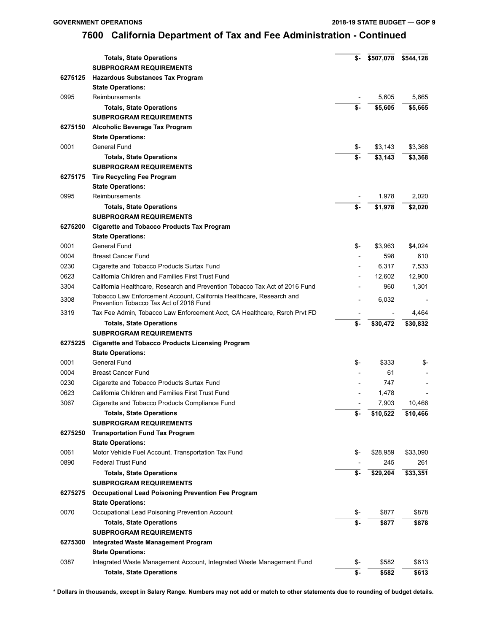|         | <b>Totals, State Operations</b>                                                                                 | \$- | \$507,078 | \$544,128 |
|---------|-----------------------------------------------------------------------------------------------------------------|-----|-----------|-----------|
|         | <b>SUBPROGRAM REQUIREMENTS</b>                                                                                  |     |           |           |
| 6275125 | <b>Hazardous Substances Tax Program</b>                                                                         |     |           |           |
|         | <b>State Operations:</b>                                                                                        |     |           |           |
| 0995    | Reimbursements                                                                                                  |     | 5,605     | 5.665     |
|         | <b>Totals, State Operations</b>                                                                                 | \$- | \$5,605   | \$5,665   |
|         | <b>SUBPROGRAM REQUIREMENTS</b>                                                                                  |     |           |           |
| 6275150 | Alcoholic Beverage Tax Program                                                                                  |     |           |           |
|         | <b>State Operations:</b>                                                                                        |     |           |           |
| 0001    | General Fund                                                                                                    | \$- | \$3,143   | \$3,368   |
|         | <b>Totals, State Operations</b>                                                                                 | \$- | \$3,143   | \$3,368   |
|         | <b>SUBPROGRAM REQUIREMENTS</b>                                                                                  |     |           |           |
| 6275175 | <b>Tire Recycling Fee Program</b>                                                                               |     |           |           |
|         | <b>State Operations:</b>                                                                                        |     |           |           |
| 0995    | Reimbursements                                                                                                  |     | 1,978     | 2,020     |
|         | <b>Totals, State Operations</b>                                                                                 | \$- | \$1,978   | \$2,020   |
|         | <b>SUBPROGRAM REQUIREMENTS</b>                                                                                  |     |           |           |
| 6275200 | <b>Cigarette and Tobacco Products Tax Program</b>                                                               |     |           |           |
|         | <b>State Operations:</b>                                                                                        |     |           |           |
| 0001    | General Fund                                                                                                    | \$- | \$3,963   | \$4,024   |
| 0004    | <b>Breast Cancer Fund</b>                                                                                       |     | 598       | 610       |
| 0230    | Cigarette and Tobacco Products Surtax Fund                                                                      |     | 6,317     | 7,533     |
| 0623    | California Children and Families First Trust Fund                                                               |     | 12,602    | 12,900    |
| 3304    | California Healthcare, Research and Prevention Tobacco Tax Act of 2016 Fund                                     |     | 960       | 1,301     |
| 3308    | Tobacco Law Enforcement Account, California Healthcare, Research and<br>Prevention Tobacco Tax Act of 2016 Fund |     | 6,032     |           |
| 3319    | Tax Fee Admin, Tobacco Law Enforcement Acct, CA Healthcare, Rsrch Prvt FD                                       |     |           | 4,464     |
|         | <b>Totals, State Operations</b>                                                                                 | \$- | \$30,472  | \$30,832  |
|         | <b>SUBPROGRAM REQUIREMENTS</b>                                                                                  |     |           |           |
| 6275225 | <b>Cigarette and Tobacco Products Licensing Program</b>                                                         |     |           |           |
|         | <b>State Operations:</b>                                                                                        |     |           |           |
| 0001    | General Fund                                                                                                    | \$- | \$333     | \$-       |
| 0004    | <b>Breast Cancer Fund</b>                                                                                       |     | 61        |           |
| 0230    | Cigarette and Tobacco Products Surtax Fund                                                                      |     | 747       |           |
| 0623    | California Children and Families First Trust Fund                                                               |     | 1,478     |           |
| 3067    | Cigarette and Tobacco Products Compliance Fund                                                                  |     | 7,903     | 10,466    |
|         | <b>Totals, State Operations</b>                                                                                 | \$- | \$10,522  | \$10,466  |
|         | <b>SUBPROGRAM REQUIREMENTS</b>                                                                                  |     |           |           |
| 6275250 | <b>Transportation Fund Tax Program</b>                                                                          |     |           |           |
|         | <b>State Operations:</b>                                                                                        |     |           |           |
| 0061    | Motor Vehicle Fuel Account, Transportation Tax Fund                                                             | \$- | \$28,959  | \$33,090  |
| 0890    | <b>Federal Trust Fund</b>                                                                                       |     | 245       | 261       |
|         | <b>Totals, State Operations</b>                                                                                 | \$- | \$29,204  | \$33,351  |
|         | <b>SUBPROGRAM REQUIREMENTS</b>                                                                                  |     |           |           |
| 6275275 | <b>Occupational Lead Poisoning Prevention Fee Program</b>                                                       |     |           |           |
|         | <b>State Operations:</b>                                                                                        |     |           |           |
| 0070    | Occupational Lead Poisoning Prevention Account                                                                  | \$- | \$877     | \$878     |
|         | <b>Totals, State Operations</b>                                                                                 | \$- | \$877     | \$878     |
|         | <b>SUBPROGRAM REQUIREMENTS</b>                                                                                  |     |           |           |
| 6275300 | <b>Integrated Waste Management Program</b>                                                                      |     |           |           |
|         | <b>State Operations:</b>                                                                                        |     |           |           |
| 0387    | Integrated Waste Management Account, Integrated Waste Management Fund                                           | \$- | \$582     | \$613     |
|         | <b>Totals, State Operations</b>                                                                                 | \$- | \$582     | \$613     |
|         |                                                                                                                 |     |           |           |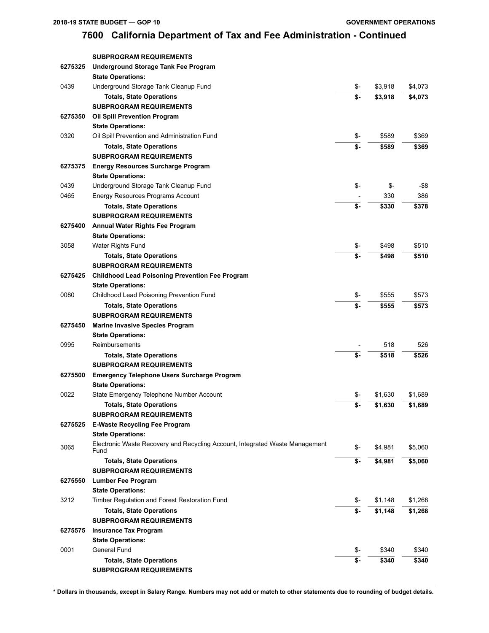|         | <b>SUBPROGRAM REQUIREMENTS</b>                                                                           |                           |         |         |
|---------|----------------------------------------------------------------------------------------------------------|---------------------------|---------|---------|
|         | <b>Totals, State Operations</b>                                                                          | \$-                       | \$340   | \$340   |
| 0001    | General Fund                                                                                             | \$-                       | \$340   | \$340   |
|         | <b>State Operations:</b>                                                                                 |                           |         |         |
| 6275575 | <b>Insurance Tax Program</b>                                                                             |                           |         |         |
|         | <b>SUBPROGRAM REQUIREMENTS</b>                                                                           |                           |         |         |
|         | <b>Totals, State Operations</b>                                                                          | \$-                       | \$1,148 | \$1,268 |
| 3212    | Timber Regulation and Forest Restoration Fund                                                            | \$-                       | \$1,148 | \$1,268 |
|         | <b>State Operations:</b>                                                                                 |                           |         |         |
| 6275550 | <b>Lumber Fee Program</b>                                                                                |                           |         |         |
|         | <b>SUBPROGRAM REQUIREMENTS</b>                                                                           |                           |         |         |
|         | Fund<br><b>Totals, State Operations</b>                                                                  | \$-                       | \$4,981 | \$5,060 |
| 3065    | <b>State Operations:</b><br>Electronic Waste Recovery and Recycling Account, Integrated Waste Management | \$-                       | \$4,981 | \$5,060 |
| 6275525 | <b>E-Waste Recycling Fee Program</b>                                                                     |                           |         |         |
|         | SUBPROGRAM REQUIREMENTS                                                                                  |                           |         |         |
|         | <b>Totals, State Operations</b>                                                                          | \$-                       | \$1,630 | \$1,689 |
| 0022    | State Emergency Telephone Number Account                                                                 | \$-                       | \$1,630 | \$1,689 |
|         | <b>State Operations:</b>                                                                                 |                           |         |         |
| 6275500 | <b>Emergency Telephone Users Surcharge Program</b>                                                       |                           |         |         |
|         | <b>SUBPROGRAM REQUIREMENTS</b>                                                                           |                           |         |         |
|         | <b>Totals, State Operations</b>                                                                          | \$-                       | \$518   | \$526   |
| 0995    | Reimbursements                                                                                           |                           | 518     | 526     |
|         | <b>State Operations:</b>                                                                                 |                           |         |         |
| 6275450 | <b>Marine Invasive Species Program</b>                                                                   |                           |         |         |
|         | <b>SUBPROGRAM REQUIREMENTS</b>                                                                           |                           |         |         |
|         | <b>Totals, State Operations</b>                                                                          | \$-                       | \$555   | \$573   |
| 0080    | Childhood Lead Poisoning Prevention Fund                                                                 | \$-                       | \$555   | \$573   |
|         | <b>State Operations:</b>                                                                                 |                           |         |         |
| 6275425 | <b>Childhood Lead Poisoning Prevention Fee Program</b>                                                   |                           |         |         |
|         | <b>SUBPROGRAM REQUIREMENTS</b>                                                                           |                           |         |         |
|         | <b>Totals, State Operations</b>                                                                          | $\overline{\mathsf{s}}$ . | \$498   | \$510   |
| 3058    | Water Rights Fund                                                                                        | \$-                       | \$498   | \$510   |
|         | <b>State Operations:</b>                                                                                 |                           |         |         |
| 6275400 | <b>Annual Water Rights Fee Program</b>                                                                   |                           |         |         |
|         | <b>SUBPROGRAM REQUIREMENTS</b>                                                                           |                           |         |         |
|         | <b>Totals, State Operations</b>                                                                          | \$-                       | \$330   | \$378   |
| 0465    | Energy Resources Programs Account                                                                        |                           | 330     | 386     |
| 0439    | Underground Storage Tank Cleanup Fund                                                                    | \$-                       | \$-     | -\$8    |
|         | <b>State Operations:</b>                                                                                 |                           |         |         |
| 6275375 | <b>Energy Resources Surcharge Program</b>                                                                |                           |         |         |
|         | <b>Totals, State Operations</b><br><b>SUBPROGRAM REQUIREMENTS</b>                                        | \$-                       | \$589   | \$369   |
| 0320    | Oil Spill Prevention and Administration Fund                                                             | \$-                       | \$589   | \$369   |
|         | <b>State Operations:</b>                                                                                 |                           |         |         |
| 6275350 | <b>Oil Spill Prevention Program</b>                                                                      |                           |         |         |
|         | <b>SUBPROGRAM REQUIREMENTS</b>                                                                           |                           |         |         |
|         | <b>Totals, State Operations</b>                                                                          | \$-                       | \$3,918 | \$4,073 |
| 0439    | Underground Storage Tank Cleanup Fund                                                                    | \$-                       | \$3,918 | \$4,073 |
|         | <b>State Operations:</b>                                                                                 |                           |         |         |
| 6275325 | <b>Underground Storage Tank Fee Program</b>                                                              |                           |         |         |
|         | <b>SUBPROGRAM REQUIREMENTS</b>                                                                           |                           |         |         |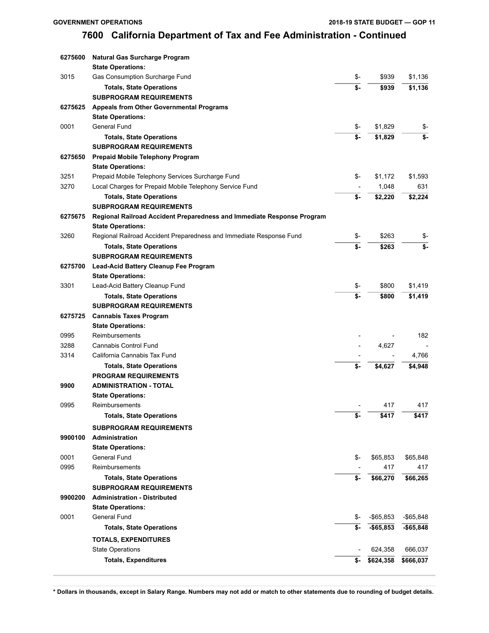| 6275600 | Natural Gas Surcharge Program                                          |                         |              |              |
|---------|------------------------------------------------------------------------|-------------------------|--------------|--------------|
|         | <b>State Operations:</b>                                               |                         |              |              |
| 3015    | Gas Consumption Surcharge Fund                                         | \$-                     | \$939        | \$1,136      |
|         | <b>Totals, State Operations</b>                                        | \$-                     | \$939        | \$1,136      |
|         | <b>SUBPROGRAM REQUIREMENTS</b>                                         |                         |              |              |
| 6275625 | <b>Appeals from Other Governmental Programs</b>                        |                         |              |              |
|         | <b>State Operations:</b>                                               |                         |              |              |
| 0001    | General Fund                                                           | \$-                     | \$1,829      | \$-          |
|         | <b>Totals, State Operations</b>                                        | \$-                     | \$1,829      | \$-          |
|         | <b>SUBPROGRAM REQUIREMENTS</b>                                         |                         |              |              |
| 6275650 | Prepaid Mobile Telephony Program                                       |                         |              |              |
|         | <b>State Operations:</b>                                               |                         |              |              |
| 3251    | Prepaid Mobile Telephony Services Surcharge Fund                       | \$-                     | \$1,172      | \$1,593      |
| 3270    | Local Charges for Prepaid Mobile Telephony Service Fund                |                         | 1,048        | 631          |
|         | <b>Totals, State Operations</b>                                        | \$-                     | \$2,220      | \$2,224      |
|         | <b>SUBPROGRAM REQUIREMENTS</b>                                         |                         |              |              |
| 6275675 | Regional Railroad Accident Preparedness and Immediate Response Program |                         |              |              |
|         | <b>State Operations:</b>                                               |                         |              |              |
| 3260    | Regional Railroad Accident Preparedness and Immediate Response Fund    | \$-                     | \$263        | \$-          |
|         | <b>Totals, State Operations</b>                                        | $\overline{\mathsf{s}}$ | \$263        | \$-          |
|         | <b>SUBPROGRAM REQUIREMENTS</b>                                         |                         |              |              |
| 6275700 | Lead-Acid Battery Cleanup Fee Program                                  |                         |              |              |
|         | <b>State Operations:</b>                                               |                         |              |              |
| 3301    | Lead-Acid Battery Cleanup Fund                                         | \$-                     | \$800        | \$1,419      |
|         | <b>Totals, State Operations</b>                                        | \$-                     | \$800        | \$1,419      |
|         | <b>SUBPROGRAM REQUIREMENTS</b>                                         |                         |              |              |
| 6275725 | <b>Cannabis Taxes Program</b>                                          |                         |              |              |
|         | <b>State Operations:</b>                                               |                         |              |              |
| 0995    | Reimbursements                                                         |                         |              | 182          |
| 3288    | <b>Cannabis Control Fund</b>                                           |                         | 4,627        |              |
| 3314    | California Cannabis Tax Fund                                           |                         |              | 4,766        |
|         | <b>Totals, State Operations</b>                                        | \$-                     | \$4,627      | \$4,948      |
|         | <b>PROGRAM REQUIREMENTS</b>                                            |                         |              |              |
| 9900    | <b>ADMINISTRATION - TOTAL</b>                                          |                         |              |              |
|         | <b>State Operations:</b>                                               |                         |              |              |
| 0995    | Reimbursements                                                         |                         | 417          | 417          |
|         | <b>Totals, State Operations</b>                                        | \$-                     | \$417        | \$417        |
|         | <b>SUBPROGRAM REQUIREMENTS</b>                                         |                         |              |              |
| 9900100 | Administration                                                         |                         |              |              |
|         | <b>State Operations:</b>                                               |                         |              |              |
| 0001    | General Fund                                                           | \$-                     | \$65,853     | \$65,848     |
| 0995    | Reimbursements                                                         |                         | 417          | 417          |
|         | <b>Totals, State Operations</b>                                        | \$-                     | \$66,270     | \$66,265     |
|         | <b>SUBPROGRAM REQUIREMENTS</b>                                         |                         |              |              |
| 9900200 | <b>Administration - Distributed</b>                                    |                         |              |              |
|         | <b>State Operations:</b>                                               |                         |              |              |
| 0001    | General Fund                                                           | \$-                     | $-$ \$65,853 | $-$ \$65,848 |
|         | <b>Totals, State Operations</b>                                        | \$-                     | $- $65,853$  | $-$65,848$   |
|         | <b>TOTALS, EXPENDITURES</b>                                            |                         |              |              |
|         | <b>State Operations</b>                                                |                         | 624,358      | 666,037      |
|         | <b>Totals, Expenditures</b>                                            | \$-                     | \$624,358    | \$666,037    |
|         |                                                                        |                         |              |              |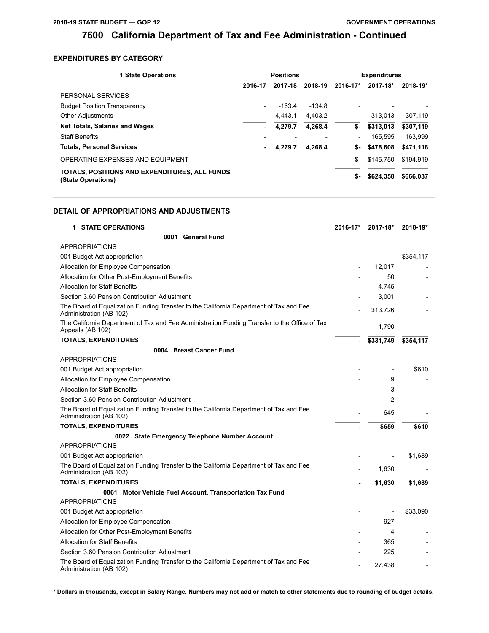### **EXPENDITURES BY CATEGORY**

| <b>1 State Operations</b>                                           |                          | <b>Positions</b> |          |                          | <b>Expenditures</b> |           |
|---------------------------------------------------------------------|--------------------------|------------------|----------|--------------------------|---------------------|-----------|
|                                                                     | 2016-17                  | 2017-18          | 2018-19  | 2016-17*                 | 2017-18*            | 2018-19*  |
| PERSONAL SERVICES                                                   |                          |                  |          |                          |                     |           |
| <b>Budget Position Transparency</b>                                 | $\overline{\phantom{a}}$ | $-163.4$         | $-134.8$ | -                        |                     |           |
| <b>Other Adjustments</b>                                            | $\overline{\phantom{a}}$ | 4.443.1          | 4,403.2  | $\overline{\phantom{a}}$ | 313.013             | 307,119   |
| <b>Net Totals, Salaries and Wages</b>                               | ۰                        | 4.279.7          | 4.268.4  | \$-                      | \$313.013           | \$307,119 |
| <b>Staff Benefits</b>                                               |                          |                  |          | $\overline{\phantom{a}}$ | 165.595             | 163,999   |
| <b>Totals, Personal Services</b>                                    | ٠                        | 4.279.7          | 4.268.4  | \$-                      | \$478,608           | \$471,118 |
| OPERATING EXPENSES AND EQUIPMENT                                    |                          |                  |          | \$-                      | \$145.750           | \$194.919 |
| TOTALS. POSITIONS AND EXPENDITURES. ALL FUNDS<br>(State Operations) |                          |                  |          | \$-                      | \$624,358           | \$666,037 |

### **DETAIL OF APPROPRIATIONS AND ADJUSTMENTS**

| <b>1 STATE OPERATIONS</b>                                                                                         | 2016-17* | 2017-18*  | $2018 - 19*$ |
|-------------------------------------------------------------------------------------------------------------------|----------|-----------|--------------|
| 0001 General Fund                                                                                                 |          |           |              |
| <b>APPROPRIATIONS</b>                                                                                             |          |           |              |
| 001 Budget Act appropriation                                                                                      |          |           | \$354,117    |
| Allocation for Employee Compensation                                                                              |          | 12.017    |              |
| Allocation for Other Post-Employment Benefits                                                                     |          | 50        |              |
| <b>Allocation for Staff Benefits</b>                                                                              |          | 4,745     |              |
| Section 3.60 Pension Contribution Adjustment                                                                      |          | 3,001     |              |
| The Board of Equalization Funding Transfer to the California Department of Tax and Fee<br>Administration (AB 102) |          | 313,726   |              |
| The California Department of Tax and Fee Administration Funding Transfer to the Office of Tax<br>Appeals (AB 102) |          | $-1,790$  |              |
| <b>TOTALS, EXPENDITURES</b>                                                                                       | ۰        | \$331,749 | \$354,117    |
| 0004 Breast Cancer Fund                                                                                           |          |           |              |
| <b>APPROPRIATIONS</b>                                                                                             |          |           |              |
| 001 Budget Act appropriation                                                                                      |          |           | \$610        |
| Allocation for Employee Compensation                                                                              |          | 9         |              |
| <b>Allocation for Staff Benefits</b>                                                                              |          | 3         |              |
| Section 3.60 Pension Contribution Adjustment                                                                      |          | 2         |              |
| The Board of Equalization Funding Transfer to the California Department of Tax and Fee<br>Administration (AB 102) |          | 645       |              |
| <b>TOTALS, EXPENDITURES</b>                                                                                       |          | \$659     | \$610        |
| 0022 State Emergency Telephone Number Account                                                                     |          |           |              |
| <b>APPROPRIATIONS</b>                                                                                             |          |           |              |
| 001 Budget Act appropriation                                                                                      |          |           | \$1,689      |
| The Board of Equalization Funding Transfer to the California Department of Tax and Fee<br>Administration (AB 102) |          | 1,630     |              |
| <b>TOTALS, EXPENDITURES</b>                                                                                       |          | \$1,630   | \$1,689      |
| 0061 Motor Vehicle Fuel Account, Transportation Tax Fund                                                          |          |           |              |
| <b>APPROPRIATIONS</b>                                                                                             |          |           |              |
| 001 Budget Act appropriation                                                                                      |          |           | \$33,090     |
| Allocation for Employee Compensation                                                                              |          | 927       |              |
| Allocation for Other Post-Employment Benefits                                                                     |          | 4         |              |
| <b>Allocation for Staff Benefits</b>                                                                              |          | 365       |              |
| Section 3.60 Pension Contribution Adjustment                                                                      |          | 225       |              |
| The Board of Equalization Funding Transfer to the California Department of Tax and Fee<br>Administration (AB 102) |          | 27,438    |              |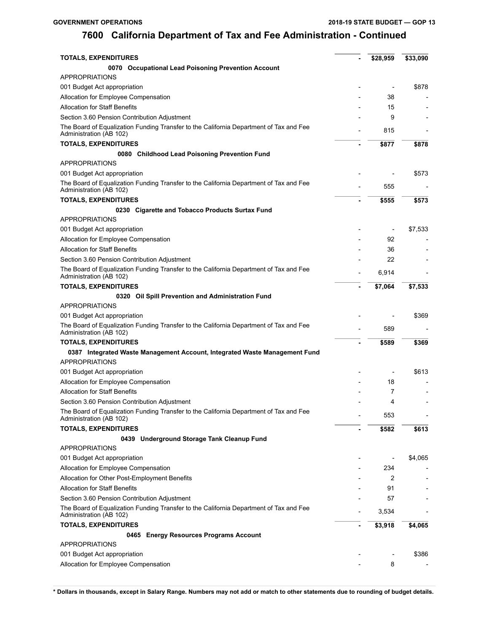| <b>TOTALS, EXPENDITURES</b>                                                                                       | \$28,959                 | \$33,090 |
|-------------------------------------------------------------------------------------------------------------------|--------------------------|----------|
| 0070 Occupational Lead Poisoning Prevention Account                                                               |                          |          |
| <b>APPROPRIATIONS</b>                                                                                             |                          |          |
| 001 Budget Act appropriation                                                                                      | $\overline{\phantom{0}}$ | \$878    |
| Allocation for Employee Compensation                                                                              | 38                       |          |
| <b>Allocation for Staff Benefits</b>                                                                              | 15                       |          |
| Section 3.60 Pension Contribution Adjustment                                                                      | 9                        |          |
| The Board of Equalization Funding Transfer to the California Department of Tax and Fee<br>Administration (AB 102) | 815                      |          |
| <b>TOTALS, EXPENDITURES</b>                                                                                       | \$877                    | \$878    |
| 0080 Childhood Lead Poisoning Prevention Fund                                                                     |                          |          |
| <b>APPROPRIATIONS</b>                                                                                             |                          |          |
| 001 Budget Act appropriation                                                                                      |                          | \$573    |
| The Board of Equalization Funding Transfer to the California Department of Tax and Fee<br>Administration (AB 102) | 555                      |          |
| <b>TOTALS, EXPENDITURES</b>                                                                                       | \$555                    | \$573    |
| 0230 Cigarette and Tobacco Products Surtax Fund                                                                   |                          |          |
| <b>APPROPRIATIONS</b>                                                                                             |                          |          |
| 001 Budget Act appropriation                                                                                      |                          | \$7,533  |
| Allocation for Employee Compensation                                                                              | 92                       |          |
| <b>Allocation for Staff Benefits</b>                                                                              | 36                       |          |
| Section 3.60 Pension Contribution Adjustment                                                                      | 22                       |          |
| The Board of Equalization Funding Transfer to the California Department of Tax and Fee<br>Administration (AB 102) | 6,914                    |          |
| <b>TOTALS, EXPENDITURES</b>                                                                                       | \$7,064                  | \$7,533  |
| 0320 Oil Spill Prevention and Administration Fund                                                                 |                          |          |
| <b>APPROPRIATIONS</b>                                                                                             |                          |          |
| 001 Budget Act appropriation                                                                                      |                          | \$369    |
| The Board of Equalization Funding Transfer to the California Department of Tax and Fee<br>Administration (AB 102) | 589                      |          |
| <b>TOTALS, EXPENDITURES</b>                                                                                       | \$589                    | \$369    |
| 0387 Integrated Waste Management Account, Integrated Waste Management Fund<br><b>APPROPRIATIONS</b>               |                          |          |
| 001 Budget Act appropriation                                                                                      | $\overline{a}$           | \$613    |
| Allocation for Employee Compensation                                                                              | 18                       |          |
| <b>Allocation for Staff Benefits</b>                                                                              | 7                        |          |
| Section 3.60 Pension Contribution Adjustment                                                                      | 4                        |          |
| The Board of Equalization Funding Transfer to the California Department of Tax and Fee<br>Administration (AB 102) | 553                      |          |
| <b>TOTALS, EXPENDITURES</b>                                                                                       | \$582                    | \$613    |
| 0439 Underground Storage Tank Cleanup Fund                                                                        |                          |          |
| <b>APPROPRIATIONS</b>                                                                                             |                          |          |
| 001 Budget Act appropriation                                                                                      |                          | \$4,065  |
| Allocation for Employee Compensation                                                                              | 234                      |          |
| Allocation for Other Post-Employment Benefits                                                                     | 2                        |          |
| <b>Allocation for Staff Benefits</b>                                                                              | 91                       |          |
| Section 3.60 Pension Contribution Adjustment                                                                      | 57                       |          |
| The Board of Equalization Funding Transfer to the California Department of Tax and Fee<br>Administration (AB 102) | 3,534                    |          |
| <b>TOTALS, EXPENDITURES</b>                                                                                       | \$3,918                  | \$4,065  |
| 0465 Energy Resources Programs Account                                                                            |                          |          |
| <b>APPROPRIATIONS</b>                                                                                             |                          |          |
| 001 Budget Act appropriation                                                                                      |                          | \$386    |
| Allocation for Employee Compensation                                                                              | 8                        |          |
|                                                                                                                   |                          |          |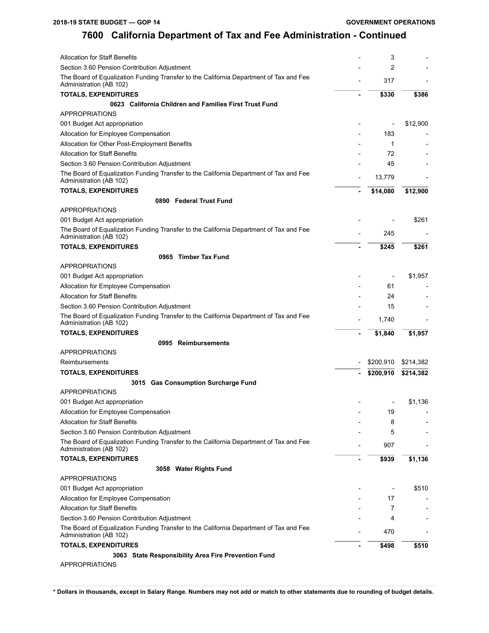| <b>Allocation for Staff Benefits</b>                                                                              | 3         |           |
|-------------------------------------------------------------------------------------------------------------------|-----------|-----------|
| Section 3.60 Pension Contribution Adjustment                                                                      | 2         |           |
| The Board of Equalization Funding Transfer to the California Department of Tax and Fee<br>Administration (AB 102) | 317       |           |
| <b>TOTALS, EXPENDITURES</b>                                                                                       | \$330     | \$386     |
| 0623 California Children and Families First Trust Fund                                                            |           |           |
| <b>APPROPRIATIONS</b>                                                                                             |           |           |
| 001 Budget Act appropriation                                                                                      |           | \$12,900  |
| Allocation for Employee Compensation                                                                              | 183       |           |
| Allocation for Other Post-Employment Benefits                                                                     | 1         |           |
| <b>Allocation for Staff Benefits</b>                                                                              | 72        |           |
| Section 3.60 Pension Contribution Adjustment                                                                      | 45        |           |
| The Board of Equalization Funding Transfer to the California Department of Tax and Fee<br>Administration (AB 102) | 13,779    |           |
| <b>TOTALS, EXPENDITURES</b>                                                                                       | \$14,080  | \$12,900  |
| 0890 Federal Trust Fund                                                                                           |           |           |
| <b>APPROPRIATIONS</b>                                                                                             |           |           |
| 001 Budget Act appropriation                                                                                      |           | \$261     |
| The Board of Equalization Funding Transfer to the California Department of Tax and Fee<br>Administration (AB 102) | 245       |           |
| <b>TOTALS, EXPENDITURES</b>                                                                                       | \$245     | \$261     |
| 0965 Timber Tax Fund                                                                                              |           |           |
| <b>APPROPRIATIONS</b>                                                                                             |           |           |
| 001 Budget Act appropriation                                                                                      |           | \$1,957   |
| Allocation for Employee Compensation                                                                              | 61        |           |
| <b>Allocation for Staff Benefits</b>                                                                              | 24        |           |
| Section 3.60 Pension Contribution Adjustment                                                                      | 15        |           |
| The Board of Equalization Funding Transfer to the California Department of Tax and Fee<br>Administration (AB 102) | 1,740     |           |
| <b>TOTALS, EXPENDITURES</b>                                                                                       | \$1,840   | \$1,957   |
| 0995 Reimbursements                                                                                               |           |           |
| <b>APPROPRIATIONS</b>                                                                                             |           |           |
| Reimbursements                                                                                                    | \$200,910 | \$214,382 |
| <b>TOTALS, EXPENDITURES</b>                                                                                       | \$200,910 | \$214,382 |
| 3015 Gas Consumption Surcharge Fund                                                                               |           |           |
| <b>APPROPRIATIONS</b>                                                                                             |           |           |
| 001 Budget Act appropriation                                                                                      |           | \$1,136   |
| Allocation for Employee Compensation                                                                              | 19        |           |
| <b>Allocation for Staff Benefits</b>                                                                              | 8         |           |
| Section 3.60 Pension Contribution Adjustment                                                                      | 5         |           |
| The Board of Equalization Funding Transfer to the California Department of Tax and Fee<br>Administration (AB 102) | 907       |           |
| <b>TOTALS, EXPENDITURES</b>                                                                                       | \$939     | \$1,136   |
| 3058 Water Rights Fund                                                                                            |           |           |
| <b>APPROPRIATIONS</b>                                                                                             |           |           |
| 001 Budget Act appropriation                                                                                      |           | \$510     |
| Allocation for Employee Compensation                                                                              | 17        |           |
| <b>Allocation for Staff Benefits</b>                                                                              | 7         |           |
| Section 3.60 Pension Contribution Adjustment                                                                      | 4         |           |
| The Board of Equalization Funding Transfer to the California Department of Tax and Fee<br>Administration (AB 102) | 470       |           |
| <b>TOTALS, EXPENDITURES</b>                                                                                       | \$498     | \$510     |
| 3063 State Responsibility Area Fire Prevention Fund                                                               |           |           |
| APPROPRIATIONS                                                                                                    |           |           |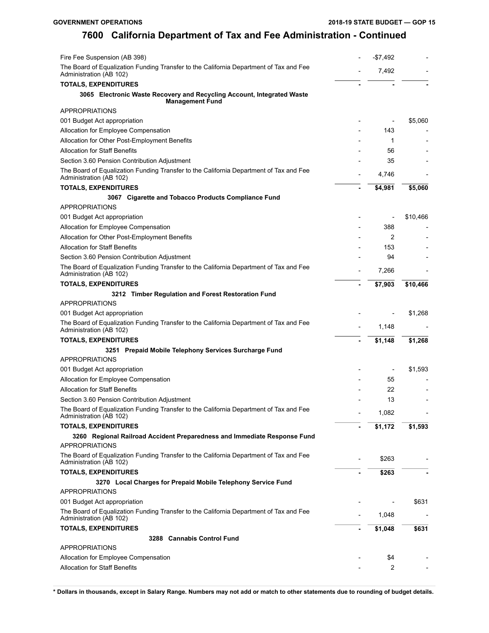| Fire Fee Suspension (AB 398)                                                                                           | $-$7,492$ |                          |
|------------------------------------------------------------------------------------------------------------------------|-----------|--------------------------|
| The Board of Equalization Funding Transfer to the California Department of Tax and Fee<br>Administration (AB 102)      | 7,492     |                          |
| <b>TOTALS, EXPENDITURES</b>                                                                                            |           |                          |
| 3065 Electronic Waste Recovery and Recycling Account, Integrated Waste<br><b>Management Fund</b>                       |           |                          |
| <b>APPROPRIATIONS</b>                                                                                                  |           |                          |
| 001 Budget Act appropriation                                                                                           |           | \$5,060                  |
| Allocation for Employee Compensation                                                                                   | 143       |                          |
| Allocation for Other Post-Employment Benefits                                                                          | 1         |                          |
| <b>Allocation for Staff Benefits</b>                                                                                   | 56        |                          |
| Section 3.60 Pension Contribution Adjustment                                                                           | 35        |                          |
| The Board of Equalization Funding Transfer to the California Department of Tax and Fee<br>Administration (AB 102)      | 4,746     |                          |
| <b>TOTALS, EXPENDITURES</b>                                                                                            | \$4,981   | \$5,060                  |
| 3067 Cigarette and Tobacco Products Compliance Fund                                                                    |           |                          |
| <b>APPROPRIATIONS</b>                                                                                                  |           |                          |
| 001 Budget Act appropriation                                                                                           |           | \$10,466                 |
| Allocation for Employee Compensation                                                                                   | 388       |                          |
| Allocation for Other Post-Employment Benefits                                                                          | 2         |                          |
| <b>Allocation for Staff Benefits</b>                                                                                   | 153       |                          |
| Section 3.60 Pension Contribution Adjustment                                                                           | 94        |                          |
| The Board of Equalization Funding Transfer to the California Department of Tax and Fee<br>Administration (AB 102)      | 7,266     |                          |
| <b>TOTALS, EXPENDITURES</b>                                                                                            | \$7,903   | \$10,466                 |
| 3212 Timber Regulation and Forest Restoration Fund                                                                     |           |                          |
| <b>APPROPRIATIONS</b>                                                                                                  |           |                          |
| 001 Budget Act appropriation<br>The Board of Equalization Funding Transfer to the California Department of Tax and Fee | 1,148     | \$1,268                  |
| Administration (AB 102)                                                                                                |           |                          |
| <b>TOTALS, EXPENDITURES</b>                                                                                            | \$1,148   | \$1,268                  |
| 3251 Prepaid Mobile Telephony Services Surcharge Fund<br><b>APPROPRIATIONS</b>                                         |           |                          |
| 001 Budget Act appropriation                                                                                           |           | \$1,593                  |
| Allocation for Employee Compensation                                                                                   | 55        |                          |
| <b>Allocation for Staff Benefits</b>                                                                                   | 22        |                          |
| Section 3.60 Pension Contribution Adjustment                                                                           | 13        | $\overline{\phantom{a}}$ |
| The Board of Equalization Funding Transfer to the California Department of Tax and Fee<br>Administration (AB 102)      | 1,082     |                          |
| <b>TOTALS, EXPENDITURES</b>                                                                                            | \$1,172   | \$1,593                  |
| 3260 Regional Railroad Accident Preparedness and Immediate Response Fund<br><b>APPROPRIATIONS</b>                      |           |                          |
| The Board of Equalization Funding Transfer to the California Department of Tax and Fee<br>Administration (AB 102)      | \$263     |                          |
| <b>TOTALS, EXPENDITURES</b>                                                                                            | \$263     |                          |
| 3270 Local Charges for Prepaid Mobile Telephony Service Fund                                                           |           |                          |
| <b>APPROPRIATIONS</b>                                                                                                  |           |                          |
| 001 Budget Act appropriation                                                                                           |           | \$631                    |
| The Board of Equalization Funding Transfer to the California Department of Tax and Fee<br>Administration (AB 102)      | 1,048     |                          |
| <b>TOTALS, EXPENDITURES</b>                                                                                            | \$1,048   | \$631                    |
| 3288 Cannabis Control Fund                                                                                             |           |                          |
| <b>APPROPRIATIONS</b>                                                                                                  |           |                          |
| Allocation for Employee Compensation                                                                                   | \$4       |                          |
| <b>Allocation for Staff Benefits</b>                                                                                   | 2         |                          |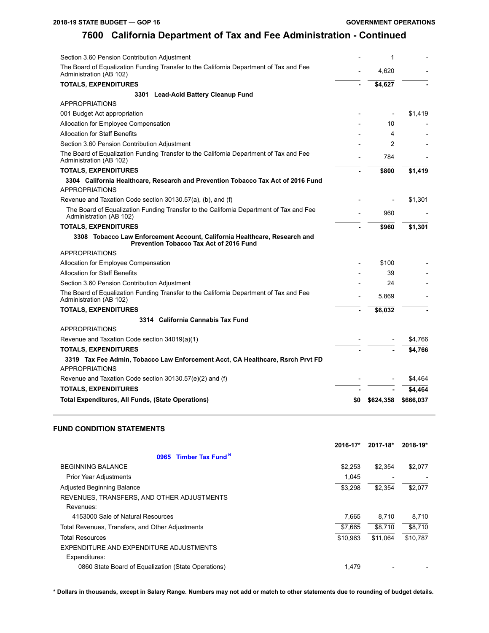| Section 3.60 Pension Contribution Adjustment                                                                                |     | 1         |           |
|-----------------------------------------------------------------------------------------------------------------------------|-----|-----------|-----------|
| The Board of Equalization Funding Transfer to the California Department of Tax and Fee<br>Administration (AB 102)           |     | 4,620     |           |
| <b>TOTALS, EXPENDITURES</b>                                                                                                 |     | \$4,627   |           |
| 3301 Lead-Acid Battery Cleanup Fund                                                                                         |     |           |           |
| <b>APPROPRIATIONS</b>                                                                                                       |     |           |           |
| 001 Budget Act appropriation                                                                                                |     |           | \$1,419   |
| Allocation for Employee Compensation                                                                                        |     | 10        |           |
| <b>Allocation for Staff Benefits</b>                                                                                        |     | 4         |           |
| Section 3.60 Pension Contribution Adjustment                                                                                |     | 2         |           |
| The Board of Equalization Funding Transfer to the California Department of Tax and Fee<br>Administration (AB 102)           |     | 784       |           |
| <b>TOTALS, EXPENDITURES</b>                                                                                                 |     | \$800     | \$1,419   |
| 3304 California Healthcare, Research and Prevention Tobacco Tax Act of 2016 Fund                                            |     |           |           |
| <b>APPROPRIATIONS</b>                                                                                                       |     |           |           |
| Revenue and Taxation Code section 30130.57(a), (b), and (f)                                                                 |     |           | \$1,301   |
| The Board of Equalization Funding Transfer to the California Department of Tax and Fee<br>Administration (AB 102)           |     | 960       |           |
| <b>TOTALS, EXPENDITURES</b>                                                                                                 |     | \$960     | \$1,301   |
|                                                                                                                             |     |           |           |
| 3308 Tobacco Law Enforcement Account, California Healthcare, Research and<br><b>Prevention Tobacco Tax Act of 2016 Fund</b> |     |           |           |
| <b>APPROPRIATIONS</b>                                                                                                       |     |           |           |
| Allocation for Employee Compensation                                                                                        |     | \$100     |           |
| <b>Allocation for Staff Benefits</b>                                                                                        |     | 39        |           |
| Section 3.60 Pension Contribution Adjustment                                                                                |     | 24        |           |
| The Board of Equalization Funding Transfer to the California Department of Tax and Fee<br>Administration (AB 102)           |     | 5,869     |           |
| <b>TOTALS, EXPENDITURES</b>                                                                                                 |     | \$6,032   |           |
| 3314 California Cannabis Tax Fund                                                                                           |     |           |           |
| <b>APPROPRIATIONS</b>                                                                                                       |     |           |           |
| Revenue and Taxation Code section 34019(a)(1)                                                                               |     |           | \$4.766   |
| <b>TOTALS, EXPENDITURES</b>                                                                                                 |     |           | \$4,766   |
| 3319 Tax Fee Admin, Tobacco Law Enforcement Acct, CA Healthcare, Rsrch Prvt FD<br><b>APPROPRIATIONS</b>                     |     |           |           |
| Revenue and Taxation Code section 30130.57(e)(2) and (f)                                                                    |     |           | \$4,464   |
| <b>TOTALS, EXPENDITURES</b>                                                                                                 |     |           | \$4,464   |
| <b>Total Expenditures, All Funds, (State Operations)</b>                                                                    | \$0 | \$624,358 | \$666,037 |

### **FUND CONDITION STATEMENTS**

|                                                     | 2016-17* | 2017-18* | 2018-19* |
|-----------------------------------------------------|----------|----------|----------|
| 0965 Timber Tax Fund <sup>N</sup>                   |          |          |          |
| <b>BEGINNING BALANCE</b>                            | \$2.253  | \$2,354  | \$2,077  |
| <b>Prior Year Adjustments</b>                       | 1.045    |          |          |
| <b>Adjusted Beginning Balance</b>                   | \$3,298  | \$2.354  | \$2,077  |
| REVENUES, TRANSFERS, AND OTHER ADJUSTMENTS          |          |          |          |
| Revenues:                                           |          |          |          |
| 4153000 Sale of Natural Resources                   | 7.665    | 8.710    | 8.710    |
| Total Revenues, Transfers, and Other Adjustments    | \$7.665  | \$8.710  | \$8,710  |
| <b>Total Resources</b>                              | \$10.963 | \$11.064 | \$10,787 |
| EXPENDITURE AND EXPENDITURE ADJUSTMENTS             |          |          |          |
| Expenditures:                                       |          |          |          |
| 0860 State Board of Equalization (State Operations) | 1,479    |          |          |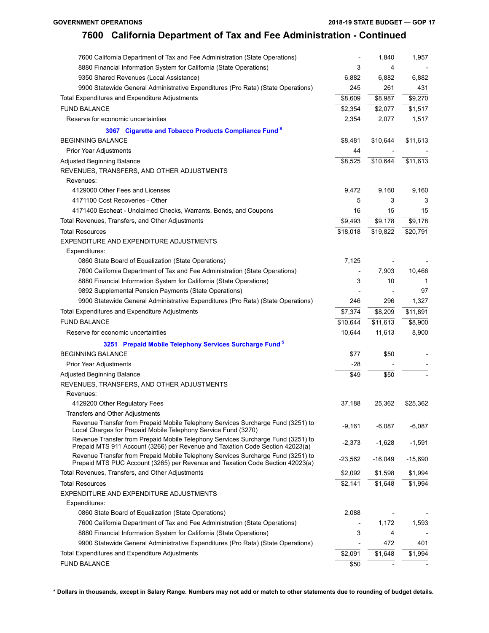| 7600 California Department of Tax and Fee Administration (State Operations)                                                                                       |           | 1,840     | 1,957     |
|-------------------------------------------------------------------------------------------------------------------------------------------------------------------|-----------|-----------|-----------|
| 8880 Financial Information System for California (State Operations)                                                                                               | 3         | 4         |           |
| 9350 Shared Revenues (Local Assistance)                                                                                                                           | 6,882     | 6,882     | 6,882     |
| 9900 Statewide General Administrative Expenditures (Pro Rata) (State Operations)                                                                                  | 245       | 261       | 431       |
| Total Expenditures and Expenditure Adjustments                                                                                                                    | \$8,609   | \$8,987   | \$9,270   |
| <b>FUND BALANCE</b>                                                                                                                                               | \$2,354   | \$2,077   | \$1,517   |
| Reserve for economic uncertainties                                                                                                                                | 2,354     | 2,077     | 1,517     |
| 3067 Cigarette and Tobacco Products Compliance Fund <sup>s</sup>                                                                                                  |           |           |           |
| <b>BEGINNING BALANCE</b>                                                                                                                                          | \$8,481   | \$10,644  | \$11,613  |
| Prior Year Adjustments                                                                                                                                            | 44        |           |           |
| <b>Adjusted Beginning Balance</b>                                                                                                                                 | \$8,525   | \$10,644  | \$11,613  |
| REVENUES, TRANSFERS, AND OTHER ADJUSTMENTS                                                                                                                        |           |           |           |
| Revenues:                                                                                                                                                         |           |           |           |
| 4129000 Other Fees and Licenses                                                                                                                                   | 9,472     | 9,160     | 9,160     |
| 4171100 Cost Recoveries - Other                                                                                                                                   | 5         | 3         | 3         |
| 4171400 Escheat - Unclaimed Checks, Warrants, Bonds, and Coupons                                                                                                  | 16        | 15        | 15        |
| Total Revenues, Transfers, and Other Adjustments                                                                                                                  | \$9,493   | \$9,178   | \$9,178   |
| <b>Total Resources</b>                                                                                                                                            | \$18,018  | \$19,822  | \$20,791  |
| EXPENDITURE AND EXPENDITURE ADJUSTMENTS                                                                                                                           |           |           |           |
| Expenditures:                                                                                                                                                     |           |           |           |
| 0860 State Board of Equalization (State Operations)                                                                                                               | 7,125     |           |           |
| 7600 California Department of Tax and Fee Administration (State Operations)                                                                                       |           | 7,903     | 10,466    |
| 8880 Financial Information System for California (State Operations)                                                                                               | 3         | 10        | 1         |
| 9892 Supplemental Pension Payments (State Operations)                                                                                                             |           |           | 97        |
| 9900 Statewide General Administrative Expenditures (Pro Rata) (State Operations)                                                                                  | 246       | 296       | 1,327     |
| Total Expenditures and Expenditure Adjustments                                                                                                                    | \$7,374   | \$8,209   | \$11,891  |
| <b>FUND BALANCE</b>                                                                                                                                               | \$10,644  | \$11,613  | \$8,900   |
| Reserve for economic uncertainties                                                                                                                                | 10,644    | 11,613    | 8,900     |
| 3251 Prepaid Mobile Telephony Services Surcharge Fund <sup>S</sup>                                                                                                |           |           |           |
| <b>BEGINNING BALANCE</b>                                                                                                                                          | \$77      | \$50      |           |
| Prior Year Adjustments                                                                                                                                            | -28       |           |           |
| Adjusted Beginning Balance                                                                                                                                        | \$49      | \$50      |           |
| REVENUES, TRANSFERS, AND OTHER ADJUSTMENTS                                                                                                                        |           |           |           |
| Revenues:                                                                                                                                                         |           |           |           |
| 4129200 Other Regulatory Fees                                                                                                                                     | 37,188    | 25,362    | \$25,362  |
| Transfers and Other Adjustments                                                                                                                                   |           |           |           |
| Revenue Transfer from Prepaid Mobile Telephony Services Surcharge Fund (3251) to<br>Local Charges for Prepaid Mobile Telephony Service Fund (3270)                | -9,161    | $-6,087$  | $-6,087$  |
| Revenue Transfer from Prepaid Mobile Telephony Services Surcharge Fund (3251) to<br>Prepaid MTS 911 Account (3266) per Revenue and Taxation Code Section 42023(a) | $-2,373$  | $-1,628$  | $-1,591$  |
| Revenue Transfer from Prepaid Mobile Telephony Services Surcharge Fund (3251) to<br>Prepaid MTS PUC Account (3265) per Revenue and Taxation Code Section 42023(a) | $-23,562$ | $-16,049$ | $-15,690$ |
| Total Revenues, Transfers, and Other Adjustments                                                                                                                  | \$2,092   | \$1,598   | \$1,994   |
| <b>Total Resources</b>                                                                                                                                            | \$2,141   | \$1,648   | \$1,994   |
| EXPENDITURE AND EXPENDITURE ADJUSTMENTS                                                                                                                           |           |           |           |
| Expenditures:                                                                                                                                                     |           |           |           |
| 0860 State Board of Equalization (State Operations)                                                                                                               | 2,088     |           |           |
| 7600 California Department of Tax and Fee Administration (State Operations)                                                                                       |           | 1,172     | 1,593     |
| 8880 Financial Information System for California (State Operations)                                                                                               | 3         | 4         |           |
| 9900 Statewide General Administrative Expenditures (Pro Rata) (State Operations)                                                                                  |           | 472       | 401       |
| Total Expenditures and Expenditure Adjustments                                                                                                                    | \$2,091   | \$1,648   | \$1,994   |
| <b>FUND BALANCE</b>                                                                                                                                               | \$50      |           |           |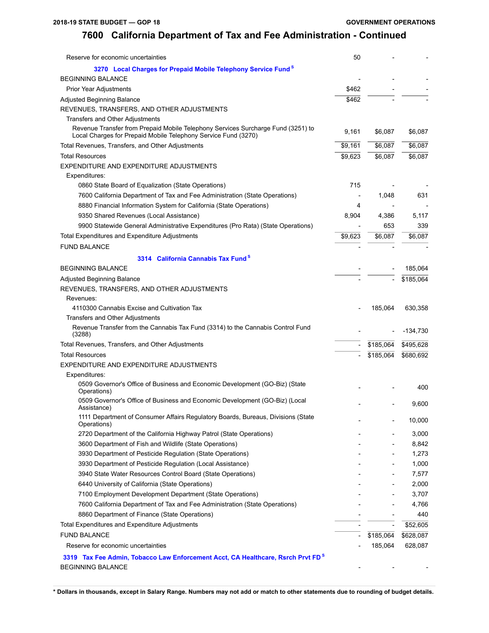| Reserve for economic uncertainties                                                                                                                 | 50                       |                          |           |
|----------------------------------------------------------------------------------------------------------------------------------------------------|--------------------------|--------------------------|-----------|
| 3270 Local Charges for Prepaid Mobile Telephony Service Fund <sup>8</sup>                                                                          |                          |                          |           |
| <b>BEGINNING BALANCE</b>                                                                                                                           |                          |                          |           |
| Prior Year Adjustments                                                                                                                             | \$462                    |                          |           |
| Adjusted Beginning Balance                                                                                                                         | \$462                    |                          |           |
| REVENUES, TRANSFERS, AND OTHER ADJUSTMENTS                                                                                                         |                          |                          |           |
| Transfers and Other Adjustments                                                                                                                    |                          |                          |           |
| Revenue Transfer from Prepaid Mobile Telephony Services Surcharge Fund (3251) to<br>Local Charges for Prepaid Mobile Telephony Service Fund (3270) | 9,161                    | \$6,087                  | \$6,087   |
| Total Revenues, Transfers, and Other Adjustments                                                                                                   | \$9,161                  | \$6,087                  | \$6,087   |
| <b>Total Resources</b>                                                                                                                             | \$9,623                  | \$6,087                  | \$6,087   |
| EXPENDITURE AND EXPENDITURE ADJUSTMENTS                                                                                                            |                          |                          |           |
| Expenditures:                                                                                                                                      |                          |                          |           |
| 0860 State Board of Equalization (State Operations)                                                                                                | 715                      |                          |           |
| 7600 California Department of Tax and Fee Administration (State Operations)                                                                        |                          | 1,048                    | 631       |
| 8880 Financial Information System for California (State Operations)                                                                                | 4                        |                          |           |
| 9350 Shared Revenues (Local Assistance)                                                                                                            | 8,904                    | 4,386                    | 5,117     |
| 9900 Statewide General Administrative Expenditures (Pro Rata) (State Operations)                                                                   |                          | 653                      | 339       |
| Total Expenditures and Expenditure Adjustments                                                                                                     | \$9,623                  | \$6,087                  | \$6,087   |
| <b>FUND BALANCE</b>                                                                                                                                |                          |                          |           |
| 3314 California Cannabis Tax Fund <sup>8</sup>                                                                                                     |                          |                          |           |
| <b>BEGINNING BALANCE</b>                                                                                                                           |                          |                          | 185,064   |
| <b>Adjusted Beginning Balance</b>                                                                                                                  |                          |                          | \$185,064 |
| REVENUES, TRANSFERS, AND OTHER ADJUSTMENTS                                                                                                         |                          |                          |           |
| Revenues:                                                                                                                                          |                          |                          |           |
| 4110300 Cannabis Excise and Cultivation Tax                                                                                                        |                          | 185,064                  | 630,358   |
| Transfers and Other Adjustments                                                                                                                    |                          |                          |           |
| Revenue Transfer from the Cannabis Tax Fund (3314) to the Cannabis Control Fund<br>(3288)                                                          |                          |                          | -134,730  |
| Total Revenues, Transfers, and Other Adjustments                                                                                                   |                          | \$185,064                | \$495,628 |
| <b>Total Resources</b>                                                                                                                             |                          | \$185,064                | \$680,692 |
| EXPENDITURE AND EXPENDITURE ADJUSTMENTS                                                                                                            |                          |                          |           |
| Expenditures:                                                                                                                                      |                          |                          |           |
| 0509 Governor's Office of Business and Economic Development (GO-Biz) (State<br>Operations)                                                         |                          |                          | 400       |
| 0509 Governor's Office of Business and Economic Development (GO-Biz) (Local<br>Assistance)                                                         |                          |                          | 9,600     |
| 1111 Department of Consumer Affairs Regulatory Boards, Bureaus, Divisions (State<br>Operations)                                                    |                          |                          | 10,000    |
| 2720 Department of the California Highway Patrol (State Operations)                                                                                |                          |                          | 3,000     |
| 3600 Department of Fish and Wildlife (State Operations)                                                                                            |                          |                          | 8,842     |
| 3930 Department of Pesticide Regulation (State Operations)                                                                                         |                          |                          | 1,273     |
| 3930 Department of Pesticide Regulation (Local Assistance)                                                                                         |                          |                          | 1,000     |
| 3940 State Water Resources Control Board (State Operations)                                                                                        |                          |                          | 7,577     |
| 6440 University of California (State Operations)                                                                                                   |                          |                          | 2,000     |
| 7100 Employment Development Department (State Operations)                                                                                          |                          |                          | 3,707     |
| 7600 California Department of Tax and Fee Administration (State Operations)                                                                        |                          |                          | 4,766     |
| 8860 Department of Finance (State Operations)                                                                                                      |                          |                          | 440       |
| Total Expenditures and Expenditure Adjustments                                                                                                     |                          | $\overline{\phantom{a}}$ | \$52,605  |
| <b>FUND BALANCE</b>                                                                                                                                | $\overline{\phantom{a}}$ | \$185,064                | \$628,087 |
| Reserve for economic uncertainties                                                                                                                 |                          | 185,064                  | 628,087   |
| 3319 Tax Fee Admin, Tobacco Law Enforcement Acct, CA Healthcare, Rsrch Prvt FD <sup>8</sup><br>BEGINNING BALANCE                                   |                          |                          |           |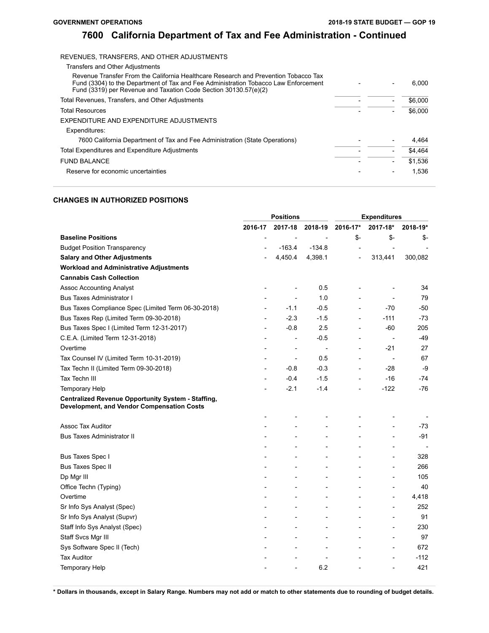$6,000$ 

## **7600 California Department of Tax and Fee Administration - Continued**

### REVENUES, TRANSFERS, AND OTHER ADJUSTMENTS Transfers and Other Adjustments Revenue Transfer From the California Healthcare Research and Prevention Tobacco Tax Fund (3304) to the Department of Tax and Fee Administration Tobacco Law Enforcement Fund (3319) per Revenue and Taxation Code Section 30130.57(e)(2) Total Revenues, Transfers, and Other Adjustments - - \$6,000 Total Resources  $\overline{\hspace{1cm}}$   $\overline{\hspace{1cm}}$   $\overline{\hspace{1cm}}$   $\overline{\hspace{1cm}}$   $\overline{\hspace{1cm}}$   $\overline{\hspace{1cm}}$   $\overline{\hspace{1cm}}$   $\overline{\hspace{1cm}}$   $\overline{\hspace{1cm}}$   $\overline{\hspace{1cm}}$   $\overline{\hspace{1cm}}$   $\overline{\hspace{1cm}}$   $\overline{\hspace{1cm}}$   $\overline{\hspace{1cm}}$   $\overline{\hspace{1cm}}$   $\overline{\hspace{1cm$ EXPENDITURE AND EXPENDITURE ADJUSTMENTS Expenditures: 7600 California Department of Tax and Fee Administration (State Operations) - - 4,464 Total Expenditures and Expenditure Adjustments - - \$4,464 FUND BALANCE  $\overline{\hspace{1cm}}$   $\overline{\hspace{1cm}}$   $\overline{\hspace{1cm}}$   $\overline{\hspace{1cm}}$   $\overline{\hspace{1cm}}$   $\overline{\hspace{1cm}}$   $\overline{\hspace{1cm}}$   $\overline{\hspace{1cm}}$   $\overline{\hspace{1cm}}$   $\overline{\hspace{1cm}}$   $\overline{\hspace{1cm}}$   $\overline{\hspace{1cm}}$   $\overline{\hspace{1cm}}$   $\overline{\hspace{1cm}}$   $\overline{\hspace{1cm}}$   $\overline{\hspace{1cm}}$

Reserve for economic uncertainties  $\overline{a}$  1,536

# **CHANGES IN AUTHORIZED POSITIONS**

|                                                                                                                | <b>Positions</b>         |                          |                          | <b>Expenditures</b>      |                              |          |  |
|----------------------------------------------------------------------------------------------------------------|--------------------------|--------------------------|--------------------------|--------------------------|------------------------------|----------|--|
|                                                                                                                | 2016-17                  | 2017-18                  | 2018-19                  | 2016-17*                 | 2017-18*                     | 2018-19* |  |
| <b>Baseline Positions</b>                                                                                      |                          | $\overline{\phantom{a}}$ |                          | $$-$                     | $S-$                         | \$-      |  |
| <b>Budget Position Transparency</b>                                                                            |                          | $-163.4$                 | $-134.8$                 | $\overline{\phantom{a}}$ | $\overline{\phantom{a}}$     |          |  |
| <b>Salary and Other Adjustments</b>                                                                            |                          | 4,450.4                  | 4,398.1                  | $\overline{a}$           | 313,441                      | 300,082  |  |
| <b>Workload and Administrative Adjustments</b>                                                                 |                          |                          |                          |                          |                              |          |  |
| <b>Cannabis Cash Collection</b>                                                                                |                          |                          |                          |                          |                              |          |  |
| <b>Assoc Accounting Analyst</b>                                                                                |                          |                          | 0.5                      | $\overline{\phantom{0}}$ |                              | 34       |  |
| <b>Bus Taxes Administrator I</b>                                                                               |                          | $\overline{a}$           | 1.0                      | $\overline{a}$           | $\overline{\phantom{0}}$     | 79       |  |
| Bus Taxes Compliance Spec (Limited Term 06-30-2018)                                                            | $\overline{\phantom{a}}$ | $-1.1$                   | $-0.5$                   | $\overline{a}$           | $-70$                        | $-50$    |  |
| Bus Taxes Rep (Limited Term 09-30-2018)                                                                        |                          | $-2.3$                   | $-1.5$                   | $\overline{a}$           | $-111$                       | $-73$    |  |
| Bus Taxes Spec I (Limited Term 12-31-2017)                                                                     |                          | $-0.8$                   | 2.5                      | $\overline{\phantom{a}}$ | -60                          | 205      |  |
| C.E.A. (Limited Term 12-31-2018)                                                                               |                          | $\overline{a}$           | $-0.5$                   | $\overline{a}$           | $\qquad \qquad \blacksquare$ | $-49$    |  |
| Overtime                                                                                                       |                          |                          | $\overline{a}$           | $\overline{a}$           | $-21$                        | 27       |  |
| Tax Counsel IV (Limited Term 10-31-2019)                                                                       |                          | $\overline{\phantom{a}}$ | 0.5                      |                          | $\overline{\phantom{a}}$     | 67       |  |
| Tax Techn II (Limited Term 09-30-2018)                                                                         |                          | $-0.8$                   | $-0.3$                   | $\overline{a}$           | -28                          | -9       |  |
| Tax Techn III                                                                                                  |                          | $-0.4$                   | $-1.5$                   | $\overline{a}$           | $-16$                        | $-74$    |  |
| Temporary Help                                                                                                 |                          | $-2.1$                   | $-1.4$                   |                          | $-122$                       | $-76$    |  |
| <b>Centralized Revenue Opportunity System - Staffing,</b><br><b>Development, and Vendor Compensation Costs</b> |                          |                          |                          |                          |                              |          |  |
|                                                                                                                |                          |                          |                          |                          |                              |          |  |
| <b>Assoc Tax Auditor</b>                                                                                       |                          | $\overline{a}$           |                          |                          |                              | $-73$    |  |
| <b>Bus Taxes Administrator II</b>                                                                              |                          |                          |                          |                          |                              | -91      |  |
|                                                                                                                |                          |                          |                          |                          |                              |          |  |
| Bus Taxes Spec I                                                                                               |                          | $\overline{a}$           |                          |                          | L,                           | 328      |  |
| <b>Bus Taxes Spec II</b>                                                                                       |                          |                          |                          |                          | $\overline{a}$               | 266      |  |
| Dp Mgr III                                                                                                     |                          | $\overline{a}$           |                          |                          | $\overline{\phantom{a}}$     | 105      |  |
| Office Techn (Typing)                                                                                          |                          | $\overline{a}$           | $\overline{\phantom{a}}$ |                          | $\overline{a}$               | 40       |  |
| Overtime                                                                                                       |                          |                          |                          |                          | $\overline{a}$               | 4,418    |  |
| Sr Info Sys Analyst (Spec)                                                                                     |                          |                          |                          |                          | $\overline{a}$               | 252      |  |
| Sr Info Sys Analyst (Supvr)                                                                                    |                          |                          |                          |                          | $\overline{a}$               | 91       |  |
| Staff Info Sys Analyst (Spec)                                                                                  |                          |                          |                          |                          | $\overline{a}$               | 230      |  |
| Staff Svcs Mgr III                                                                                             |                          |                          |                          |                          | $\overline{a}$               | 97       |  |
| Sys Software Spec II (Tech)                                                                                    |                          |                          |                          |                          | $\overline{a}$               | 672      |  |
| <b>Tax Auditor</b>                                                                                             |                          |                          |                          |                          | L,                           | -112     |  |
| Temporary Help                                                                                                 |                          |                          | 6.2                      |                          |                              | 421      |  |